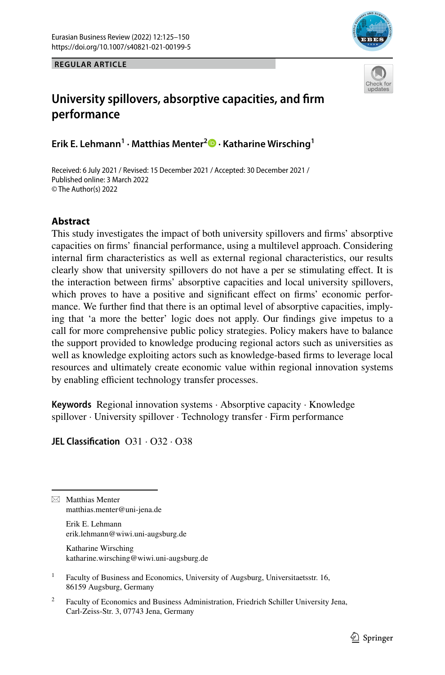

**REGULAR ARTICLE**

# **University spillovers, absorptive capacities, and frm performance**

**Erik E. Lehmann<sup>1</sup> · Matthias Menter2  [·](http://orcid.org/0000-0001-6981-6778) Katharine Wirsching1**

Received: 6 July 2021 / Revised: 15 December 2021 / Accepted: 30 December 2021 / Published online: 3 March 2022 © The Author(s) 2022

## **Abstract**

This study investigates the impact of both university spillovers and frms' absorptive capacities on frms' fnancial performance, using a multilevel approach. Considering internal frm characteristics as well as external regional characteristics, our results clearly show that university spillovers do not have a per se stimulating efect. It is the interaction between frms' absorptive capacities and local university spillovers, which proves to have a positive and significant effect on firms' economic performance. We further fnd that there is an optimal level of absorptive capacities, implying that 'a more the better' logic does not apply. Our fndings give impetus to a call for more comprehensive public policy strategies. Policy makers have to balance the support provided to knowledge producing regional actors such as universities as well as knowledge exploiting actors such as knowledge-based frms to leverage local resources and ultimately create economic value within regional innovation systems by enabling efficient technology transfer processes.

**Keywords** Regional innovation systems · Absorptive capacity · Knowledge spillover · University spillover · Technology transfer · Firm performance

**JEL Classifcation** O31 · O32 · O38

 $\boxtimes$  Matthias Menter matthias.menter@uni-jena.de

> Erik E. Lehmann erik.lehmann@wiwi.uni-augsburg.de

Katharine Wirsching katharine.wirsching@wiwi.uni-augsburg.de

<sup>1</sup> Faculty of Business and Economics, University of Augsburg, Universitaetsstr. 16, 86159 Augsburg, Germany

<sup>2</sup> Faculty of Economics and Business Administration, Friedrich Schiller University Jena, Carl-Zeiss-Str. 3, 07743 Jena, Germany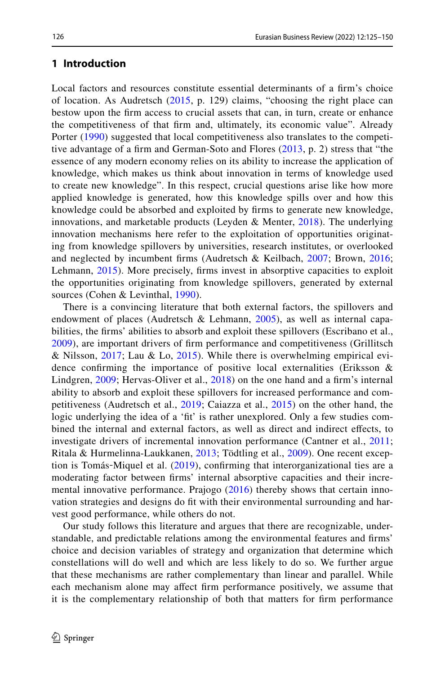#### **1 Introduction**

Local factors and resources constitute essential determinants of a frm's choice of location. As Audretsch ([2015](#page-20-0), p. 129) claims, "choosing the right place can bestow upon the frm access to crucial assets that can, in turn, create or enhance the competitiveness of that frm and, ultimately, its economic value". Already Porter ([1990](#page-23-0)) suggested that local competitiveness also translates to the competitive advantage of a frm and German-Soto and Flores ([2013](#page-22-0), p. 2) stress that "the essence of any modern economy relies on its ability to increase the application of knowledge, which makes us think about innovation in terms of knowledge used to create new knowledge". In this respect, crucial questions arise like how more applied knowledge is generated, how this knowledge spills over and how this knowledge could be absorbed and exploited by frms to generate new knowledge, innovations, and marketable products (Leyden & Menter,  $2018$ ). The underlying innovation mechanisms here refer to the exploitation of opportunities originating from knowledge spillovers by universities, research institutes, or overlooked and neglected by incumbent frms (Audretsch & Keilbach, [2007](#page-20-1); Brown, [2016;](#page-21-0) Lehmann, [2015](#page-23-2)). More precisely, frms invest in absorptive capacities to exploit the opportunities originating from knowledge spillovers, generated by external sources (Cohen & Levinthal, [1990](#page-21-1)).

There is a convincing literature that both external factors, the spillovers and endowment of places (Audretsch & Lehmann, [2005\)](#page-20-2), as well as internal capabilities, the frms' abilities to absorb and exploit these spillovers (Escribano et al., [2009\)](#page-22-1), are important drivers of frm performance and competitiveness (Grillitsch & Nilsson, [2017](#page-22-2); Lau & Lo, [2015](#page-23-3)). While there is overwhelming empirical evidence confrming the importance of positive local externalities (Eriksson & Lindgren, [2009;](#page-22-3) Hervas-Oliver et al., [2018\)](#page-22-4) on the one hand and a frm's internal ability to absorb and exploit these spillovers for increased performance and competitiveness (Audretsch et al., [2019](#page-20-3); Caiazza et al., [2015\)](#page-21-2) on the other hand, the logic underlying the idea of a 'ft' is rather unexplored. Only a few studies combined the internal and external factors, as well as direct and indirect efects, to investigate drivers of incremental innovation performance (Cantner et al., [2011;](#page-21-3) Ritala & Hurmelinna-Laukkanen, [2013](#page-24-0); Tödtling et al., [2009](#page-24-1)). One recent exception is Tomás‐Miquel et al. ([2019\)](#page-24-2), confrming that interorganizational ties are a moderating factor between frms' internal absorptive capacities and their incre-mental innovative performance. Prajogo ([2016](#page-23-4)) thereby shows that certain innovation strategies and designs do ft with their environmental surrounding and harvest good performance, while others do not.

Our study follows this literature and argues that there are recognizable, understandable, and predictable relations among the environmental features and frms' choice and decision variables of strategy and organization that determine which constellations will do well and which are less likely to do so. We further argue that these mechanisms are rather complementary than linear and parallel. While each mechanism alone may afect frm performance positively, we assume that it is the complementary relationship of both that matters for frm performance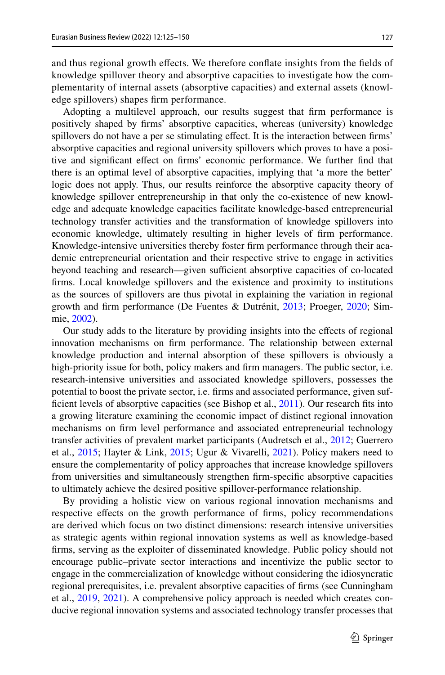and thus regional growth efects. We therefore confate insights from the felds of knowledge spillover theory and absorptive capacities to investigate how the complementarity of internal assets (absorptive capacities) and external assets (knowledge spillovers) shapes frm performance.

Adopting a multilevel approach, our results suggest that frm performance is positively shaped by frms' absorptive capacities, whereas (university) knowledge spillovers do not have a per se stimulating efect. It is the interaction between frms' absorptive capacities and regional university spillovers which proves to have a positive and signifcant efect on frms' economic performance. We further fnd that there is an optimal level of absorptive capacities, implying that 'a more the better' logic does not apply. Thus, our results reinforce the absorptive capacity theory of knowledge spillover entrepreneurship in that only the co-existence of new knowledge and adequate knowledge capacities facilitate knowledge-based entrepreneurial technology transfer activities and the transformation of knowledge spillovers into economic knowledge, ultimately resulting in higher levels of frm performance. Knowledge-intensive universities thereby foster frm performance through their academic entrepreneurial orientation and their respective strive to engage in activities beyond teaching and research—given sufficient absorptive capacities of co-located frms. Local knowledge spillovers and the existence and proximity to institutions as the sources of spillovers are thus pivotal in explaining the variation in regional growth and frm performance (De Fuentes & Dutrénit, [2013](#page-21-4); Proeger, [2020;](#page-23-5) Simmie, [2002](#page-24-3)).

Our study adds to the literature by providing insights into the efects of regional innovation mechanisms on frm performance. The relationship between external knowledge production and internal absorption of these spillovers is obviously a high-priority issue for both, policy makers and frm managers. The public sector, i.e. research-intensive universities and associated knowledge spillovers, possesses the potential to boost the private sector, i.e. frms and associated performance, given suf-ficient levels of absorptive capacities (see Bishop et al., [2011\)](#page-21-5). Our research fits into a growing literature examining the economic impact of distinct regional innovation mechanisms on frm level performance and associated entrepreneurial technology transfer activities of prevalent market participants (Audretsch et al., [2012](#page-20-4); Guerrero et al., [2015;](#page-22-5) Hayter & Link, [2015](#page-22-6); Ugur & Vivarelli, [2021](#page-24-4)). Policy makers need to ensure the complementarity of policy approaches that increase knowledge spillovers from universities and simultaneously strengthen frm-specifc absorptive capacities to ultimately achieve the desired positive spillover-performance relationship.

By providing a holistic view on various regional innovation mechanisms and respective efects on the growth performance of frms, policy recommendations are derived which focus on two distinct dimensions: research intensive universities as strategic agents within regional innovation systems as well as knowledge-based frms, serving as the exploiter of disseminated knowledge. Public policy should not encourage public–private sector interactions and incentivize the public sector to engage in the commercialization of knowledge without considering the idiosyncratic regional prerequisites, i.e. prevalent absorptive capacities of frms (see Cunningham et al., [2019](#page-21-6), [2021\)](#page-21-7). A comprehensive policy approach is needed which creates conducive regional innovation systems and associated technology transfer processes that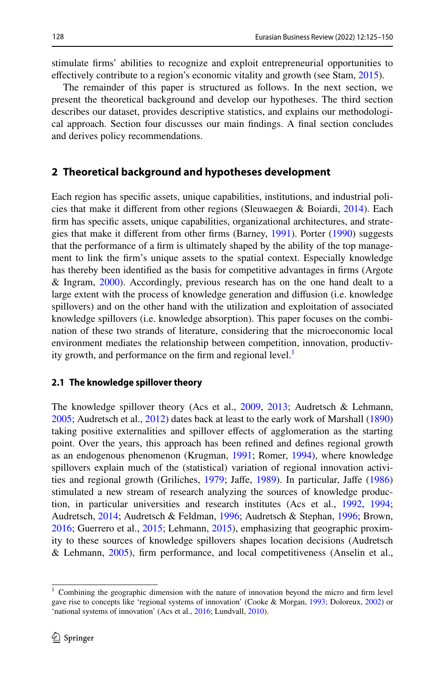stimulate frms' abilities to recognize and exploit entrepreneurial opportunities to efectively contribute to a region's economic vitality and growth (see Stam, [2015](#page-24-5)).

The remainder of this paper is structured as follows. In the next section, we present the theoretical background and develop our hypotheses. The third section describes our dataset, provides descriptive statistics, and explains our methodological approach. Section four discusses our main fndings. A fnal section concludes and derives policy recommendations.

#### **2 Theoretical background and hypotheses development**

Each region has specifc assets, unique capabilities, institutions, and industrial policies that make it diferent from other regions (Sleuwaegen & Boiardi, [2014](#page-24-6)). Each frm has specifc assets, unique capabilities, organizational architectures, and strategies that make it diferent from other frms (Barney, [1991\)](#page-20-5). Porter [\(1990](#page-23-0)) suggests that the performance of a frm is ultimately shaped by the ability of the top management to link the frm's unique assets to the spatial context. Especially knowledge has thereby been identifed as the basis for competitive advantages in frms (Argote & Ingram, [2000](#page-20-6)). Accordingly, previous research has on the one hand dealt to a large extent with the process of knowledge generation and difusion (i.e. knowledge spillovers) and on the other hand with the utilization and exploitation of associated knowledge spillovers (i.e. knowledge absorption). This paper focuses on the combination of these two strands of literature, considering that the microeconomic local environment mediates the relationship between competition, innovation, productiv-ity growth, and performance on the firm and regional level.<sup>[1](#page-3-0)</sup>

#### **2.1 The knowledge spillover theory**

The knowledge spillover theory (Acs et al., [2009,](#page-20-7) [2013](#page-20-8); Audretsch & Lehmann, [2005](#page-20-2); Audretsch et al., [2012](#page-20-4)) dates back at least to the early work of Marshall [\(1890](#page-23-6)) taking positive externalities and spillover efects of agglomeration as the starting point. Over the years, this approach has been refned and defnes regional growth as an endogenous phenomenon (Krugman, [1991](#page-23-7); Romer, [1994](#page-24-7)), where knowledge spillovers explain much of the (statistical) variation of regional innovation activities and regional growth (Griliches, [1979;](#page-22-7) Jafe, [1989](#page-22-8)). In particular, Jafe ([1986\)](#page-22-9) stimulated a new stream of research analyzing the sources of knowledge production, in particular universities and research institutes (Acs et al., [1992,](#page-19-0) [1994;](#page-20-9) Audretsch, [2014;](#page-20-10) Audretsch & Feldman, [1996;](#page-20-11) Audretsch & Stephan, [1996](#page-20-12); Brown, [2016](#page-21-0); Guerrero et al., [2015;](#page-22-5) Lehmann, [2015](#page-23-2)), emphasizing that geographic proximity to these sources of knowledge spillovers shapes location decisions (Audretsch & Lehmann, [2005](#page-20-2)), frm performance, and local competitiveness (Anselin et al.,

<span id="page-3-0"></span><sup>1</sup> Combining the geographic dimension with the nature of innovation beyond the micro and frm level gave rise to concepts like 'regional systems of innovation' (Cooke & Morgan, [1993](#page-21-8); Doloreux, [2002\)](#page-22-10) or 'national systems of innovation' (Acs et al., [2016](#page-20-13); Lundvall, [2010\)](#page-23-8).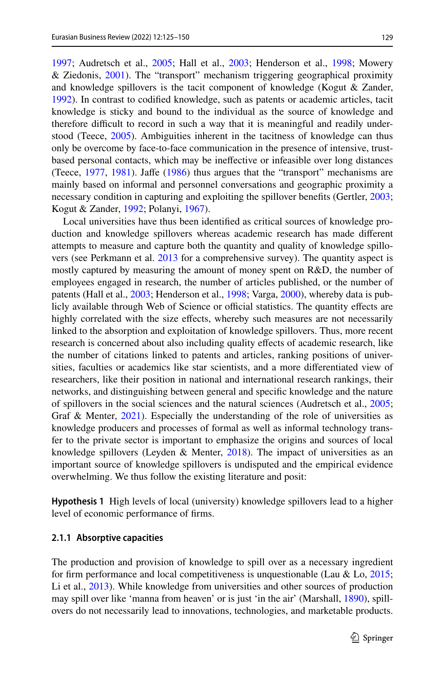[1997](#page-20-14); Audretsch et al., [2005](#page-20-15); Hall et al., [2003;](#page-22-11) Henderson et al., [1998;](#page-22-12) Mowery & Ziedonis, [2001\)](#page-23-9). The "transport" mechanism triggering geographical proximity and knowledge spillovers is the tacit component of knowledge (Kogut  $\&$  Zander, [1992](#page-23-10)). In contrast to codifed knowledge, such as patents or academic articles, tacit knowledge is sticky and bound to the individual as the source of knowledge and therefore difficult to record in such a way that it is meaningful and readily understood (Teece, [2005](#page-24-8)). Ambiguities inherent in the tacitness of knowledge can thus only be overcome by face-to-face communication in the presence of intensive, trustbased personal contacts, which may be inefective or infeasible over long distances (Teece, [1977,](#page-24-9) [1981\)](#page-24-10). Jafe ([1986\)](#page-22-9) thus argues that the "transport" mechanisms are mainly based on informal and personnel conversations and geographic proximity a necessary condition in capturing and exploiting the spillover benefts (Gertler, [2003;](#page-22-13) Kogut & Zander, [1992;](#page-23-10) Polanyi, [1967](#page-23-11)).

Local universities have thus been identifed as critical sources of knowledge production and knowledge spillovers whereas academic research has made diferent attempts to measure and capture both the quantity and quality of knowledge spillovers (see Perkmann et al. [2013](#page-23-12) for a comprehensive survey). The quantity aspect is mostly captured by measuring the amount of money spent on R&D, the number of employees engaged in research, the number of articles published, or the number of patents (Hall et al., [2003;](#page-22-11) Henderson et al., [1998;](#page-22-12) Varga, [2000](#page-24-11)), whereby data is publicly available through Web of Science or official statistics. The quantity effects are highly correlated with the size effects, whereby such measures are not necessarily linked to the absorption and exploitation of knowledge spillovers. Thus, more recent research is concerned about also including quality efects of academic research, like the number of citations linked to patents and articles, ranking positions of universities, faculties or academics like star scientists, and a more diferentiated view of researchers, like their position in national and international research rankings, their networks, and distinguishing between general and specifc knowledge and the nature of spillovers in the social sciences and the natural sciences (Audretsch et al., [2005;](#page-20-15) Graf & Menter, [2021\)](#page-22-14). Especially the understanding of the role of universities as knowledge producers and processes of formal as well as informal technology transfer to the private sector is important to emphasize the origins and sources of local knowledge spillovers (Leyden & Menter,  $2018$ ). The impact of universities as an important source of knowledge spillovers is undisputed and the empirical evidence overwhelming. We thus follow the existing literature and posit:

**Hypothesis 1** High levels of local (university) knowledge spillovers lead to a higher level of economic performance of frms.

#### **2.1.1 Absorptive capacities**

The production and provision of knowledge to spill over as a necessary ingredient for firm performance and local competitiveness is unquestionable (Lau & Lo,  $2015$ ; Li et al., [2013\)](#page-23-13). While knowledge from universities and other sources of production may spill over like 'manna from heaven' or is just 'in the air' (Marshall, [1890\)](#page-23-6), spillovers do not necessarily lead to innovations, technologies, and marketable products.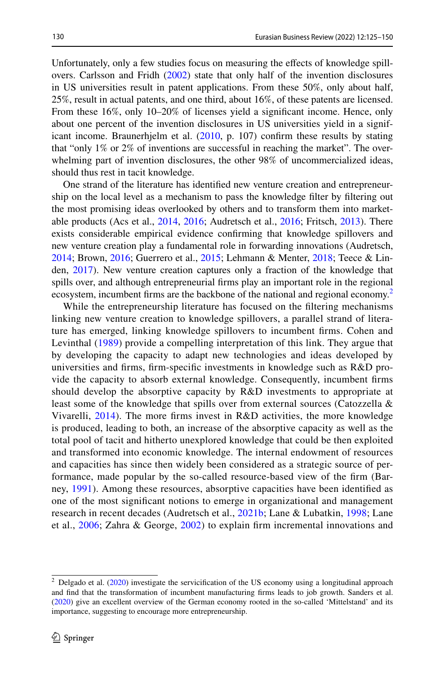Unfortunately, only a few studies focus on measuring the efects of knowledge spillovers. Carlsson and Fridh ([2002\)](#page-21-9) state that only half of the invention disclosures in US universities result in patent applications. From these 50%, only about half, 25%, result in actual patents, and one third, about 16%, of these patents are licensed. From these 16%, only 10–20% of licenses yield a signifcant income. Hence, only about one percent of the invention disclosures in US universities yield in a significant income. Braunerhjelm et al.  $(2010, p. 107)$  $(2010, p. 107)$  $(2010, p. 107)$  confirm these results by stating that "only 1% or 2% of inventions are successful in reaching the market". The overwhelming part of invention disclosures, the other 98% of uncommercialized ideas, should thus rest in tacit knowledge.

One strand of the literature has identifed new venture creation and entrepreneurship on the local level as a mechanism to pass the knowledge flter by fltering out the most promising ideas overlooked by others and to transform them into marketable products (Acs et al., [2014,](#page-20-16) [2016](#page-20-13); Audretsch et al., [2016;](#page-20-17) Fritsch, [2013](#page-22-15)). There exists considerable empirical evidence confrming that knowledge spillovers and new venture creation play a fundamental role in forwarding innovations (Audretsch, [2014](#page-20-10); Brown, [2016;](#page-21-0) Guerrero et al., [2015](#page-22-5); Lehmann & Menter, [2018;](#page-23-14) Teece & Linden, [2017](#page-24-12)). New venture creation captures only a fraction of the knowledge that spills over, and although entrepreneurial frms play an important role in the regional ecosystem, incumbent firms are the backbone of the national and regional economy.<sup>[2](#page-5-0)</sup>

While the entrepreneurship literature has focused on the fltering mechanisms linking new venture creation to knowledge spillovers, a parallel strand of literature has emerged, linking knowledge spillovers to incumbent frms. Cohen and Levinthal ([1989](#page-21-11)) provide a compelling interpretation of this link. They argue that by developing the capacity to adapt new technologies and ideas developed by universities and frms, frm-specifc investments in knowledge such as R&D provide the capacity to absorb external knowledge. Consequently, incumbent frms should develop the absorptive capacity by R&D investments to appropriate at least some of the knowledge that spills over from external sources (Catozzella & Vivarelli, [2014](#page-21-12)). The more frms invest in R&D activities, the more knowledge is produced, leading to both, an increase of the absorptive capacity as well as the total pool of tacit and hitherto unexplored knowledge that could be then exploited and transformed into economic knowledge. The internal endowment of resources and capacities has since then widely been considered as a strategic source of performance, made popular by the so-called resource-based view of the frm (Barney, [1991](#page-20-5)). Among these resources, absorptive capacities have been identifed as one of the most signifcant notions to emerge in organizational and management research in recent decades (Audretsch et al., [2021b](#page-20-18); Lane & Lubatkin, [1998](#page-23-15); Lane et al., [2006](#page-23-16); Zahra & George, [2002\)](#page-24-13) to explain frm incremental innovations and

<span id="page-5-0"></span> $2$  Delgado et al. [\(2020](#page-21-13)) investigate the servicification of the US economy using a longitudinal approach and fnd that the transformation of incumbent manufacturing frms leads to job growth. Sanders et al. ([2020\)](#page-24-14) give an excellent overview of the German economy rooted in the so-called 'Mittelstand' and its importance, suggesting to encourage more entrepreneurship.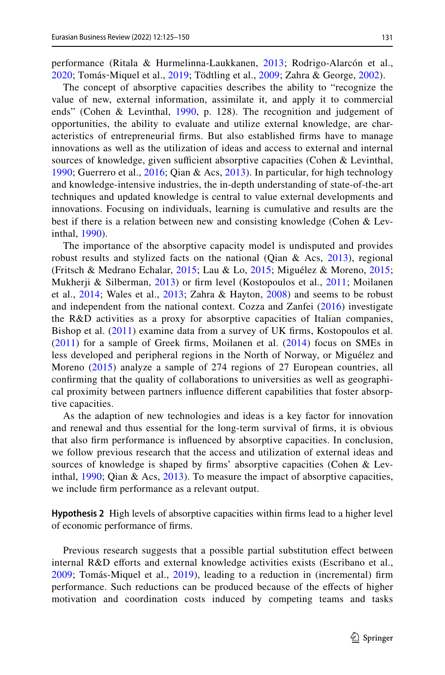performance (Ritala & Hurmelinna-Laukkanen, [2013;](#page-24-0) Rodrigo-Alarcón et al., [2020;](#page-24-15) Tomás‐Miquel et al., [2019;](#page-24-2) Tödtling et al., [2009](#page-24-1); Zahra & George, [2002\)](#page-24-13).

The concept of absorptive capacities describes the ability to "recognize the value of new, external information, assimilate it, and apply it to commercial ends" (Cohen & Levinthal, [1990](#page-21-1), p. 128). The recognition and judgement of opportunities, the ability to evaluate and utilize external knowledge, are characteristics of entrepreneurial frms. But also established frms have to manage innovations as well as the utilization of ideas and access to external and internal sources of knowledge, given sufficient absorptive capacities (Cohen  $&$  Levinthal, [1990;](#page-21-1) Guerrero et al., [2016;](#page-22-16) Qian & Acs, [2013\)](#page-23-17). In particular, for high technology and knowledge-intensive industries, the in-depth understanding of state-of-the-art techniques and updated knowledge is central to value external developments and innovations. Focusing on individuals, learning is cumulative and results are the best if there is a relation between new and consisting knowledge (Cohen & Levinthal, [1990\)](#page-21-1).

The importance of the absorptive capacity model is undisputed and provides robust results and stylized facts on the national (Qian & Acs, [2013](#page-23-17)), regional (Fritsch & Medrano Echalar, [2015;](#page-22-17) Lau & Lo, [2015](#page-23-3); Miguélez & Moreno, [2015;](#page-23-18) Mukherji & Silberman, [2013](#page-23-19)) or frm level (Kostopoulos et al., [2011;](#page-23-20) Moilanen et al., [2014;](#page-23-21) Wales et al., [2013;](#page-24-16) Zahra & Hayton, [2008\)](#page-25-0) and seems to be robust and independent from the national context. Cozza and Zanfei ([2016](#page-21-14)) investigate the R&D activities as a proxy for absorptive capacities of Italian companies, Bishop et al. [\(2011\)](#page-21-5) examine data from a survey of UK frms, Kostopoulos et al.  $(2011)$  $(2011)$  for a sample of Greek firms, Moilanen et al.  $(2014)$  $(2014)$  $(2014)$  focus on SMEs in less developed and peripheral regions in the North of Norway, or Miguélez and Moreno ([2015\)](#page-23-18) analyze a sample of 274 regions of 27 European countries, all confrming that the quality of collaborations to universities as well as geographical proximity between partners infuence diferent capabilities that foster absorptive capacities.

As the adaption of new technologies and ideas is a key factor for innovation and renewal and thus essential for the long-term survival of frms, it is obvious that also frm performance is infuenced by absorptive capacities. In conclusion, we follow previous research that the access and utilization of external ideas and sources of knowledge is shaped by frms' absorptive capacities (Cohen & Levinthal, [1990;](#page-21-1) Qian & Acs, [2013\)](#page-23-17). To measure the impact of absorptive capacities, we include frm performance as a relevant output.

**Hypothesis 2** High levels of absorptive capacities within frms lead to a higher level of economic performance of frms.

Previous research suggests that a possible partial substitution efect between internal R&D efforts and external knowledge activities exists (Escribano et al., [2009;](#page-22-1) Tomás-Miquel et al., [2019\)](#page-24-2), leading to a reduction in (incremental) frm performance. Such reductions can be produced because of the efects of higher motivation and coordination costs induced by competing teams and tasks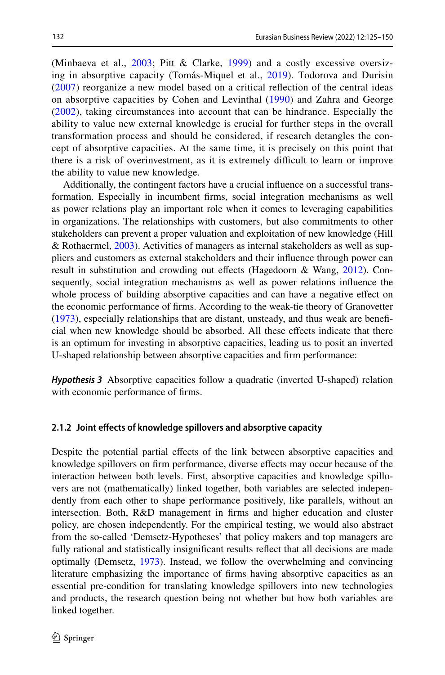(Minbaeva et al., [2003](#page-23-22); Pitt & Clarke, [1999](#page-23-23)) and a costly excessive oversizing in absorptive capacity (Tomás-Miquel et al., [2019](#page-24-2)). Todorova and Durisin [\(2007](#page-24-17)) reorganize a new model based on a critical refection of the central ideas on absorptive capacities by Cohen and Levinthal ([1990](#page-21-1)) and Zahra and George [\(2002](#page-24-13)), taking circumstances into account that can be hindrance. Especially the ability to value new external knowledge is crucial for further steps in the overall transformation process and should be considered, if research detangles the concept of absorptive capacities. At the same time, it is precisely on this point that there is a risk of overinvestment, as it is extremely difficult to learn or improve the ability to value new knowledge.

Additionally, the contingent factors have a crucial infuence on a successful transformation. Especially in incumbent frms, social integration mechanisms as well as power relations play an important role when it comes to leveraging capabilities in organizations. The relationships with customers, but also commitments to other stakeholders can prevent a proper valuation and exploitation of new knowledge (Hill & Rothaermel, [2003\)](#page-22-18). Activities of managers as internal stakeholders as well as suppliers and customers as external stakeholders and their infuence through power can result in substitution and crowding out efects (Hagedoorn & Wang, [2012\)](#page-22-19). Consequently, social integration mechanisms as well as power relations infuence the whole process of building absorptive capacities and can have a negative efect on the economic performance of frms. According to the weak-tie theory of Granovetter [\(1973](#page-22-20)), especially relationships that are distant, unsteady, and thus weak are benefcial when new knowledge should be absorbed. All these efects indicate that there is an optimum for investing in absorptive capacities, leading us to posit an inverted U-shaped relationship between absorptive capacities and frm performance:

*Hypothesis 3* Absorptive capacities follow a quadratic (inverted U-shaped) relation with economic performance of frms.

### **2.1.2 Joint efects of knowledge spillovers and absorptive capacity**

Despite the potential partial efects of the link between absorptive capacities and knowledge spillovers on frm performance, diverse efects may occur because of the interaction between both levels. First, absorptive capacities and knowledge spillovers are not (mathematically) linked together, both variables are selected independently from each other to shape performance positively, like parallels, without an intersection. Both, R&D management in frms and higher education and cluster policy, are chosen independently. For the empirical testing, we would also abstract from the so-called 'Demsetz-Hypotheses' that policy makers and top managers are fully rational and statistically insignifcant results refect that all decisions are made optimally (Demsetz, [1973\)](#page-22-21). Instead, we follow the overwhelming and convincing literature emphasizing the importance of frms having absorptive capacities as an essential pre-condition for translating knowledge spillovers into new technologies and products, the research question being not whether but how both variables are linked together.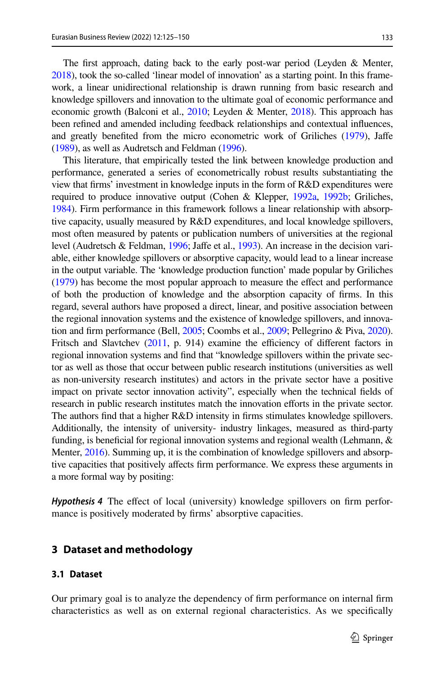The frst approach, dating back to the early post-war period (Leyden & Menter, [2018](#page-23-1)), took the so-called 'linear model of innovation' as a starting point. In this framework, a linear unidirectional relationship is drawn running from basic research and knowledge spillovers and innovation to the ultimate goal of economic performance and economic growth (Balconi et al., [2010;](#page-20-19) Leyden & Menter, [2018\)](#page-23-1). This approach has been refned and amended including feedback relationships and contextual infuences, and greatly benefted from the micro econometric work of Griliches ([1979\)](#page-22-7), Jafe [\(1989\)](#page-22-8), as well as Audretsch and Feldman [\(1996](#page-20-11)).

This literature, that empirically tested the link between knowledge production and performance, generated a series of econometrically robust results substantiating the view that frms' investment in knowledge inputs in the form of R&D expenditures were required to produce innovative output (Cohen & Klepper, [1992a,](#page-21-15) [1992b;](#page-21-16) Griliches, [1984](#page-22-22)). Firm performance in this framework follows a linear relationship with absorptive capacity, usually measured by R&D expenditures, and local knowledge spillovers, most often measured by patents or publication numbers of universities at the regional level (Audretsch & Feldman, [1996](#page-20-11); Jafe et al., [1993](#page-22-23)). An increase in the decision variable, either knowledge spillovers or absorptive capacity, would lead to a linear increase in the output variable. The 'knowledge production function' made popular by Griliches [\(1979\)](#page-22-7) has become the most popular approach to measure the efect and performance of both the production of knowledge and the absorption capacity of frms. In this regard, several authors have proposed a direct, linear, and positive association between the regional innovation systems and the existence of knowledge spillovers, and innovation and frm performance (Bell, [2005;](#page-20-20) Coombs et al., [2009](#page-21-17); Pellegrino & Piva, [2020\)](#page-23-24). Fritsch and Slavtchev  $(2011, p. 914)$  $(2011, p. 914)$  $(2011, p. 914)$  examine the efficiency of different factors in regional innovation systems and fnd that "knowledge spillovers within the private sector as well as those that occur between public research institutions (universities as well as non-university research institutes) and actors in the private sector have a positive impact on private sector innovation activity", especially when the technical felds of research in public research institutes match the innovation efforts in the private sector. The authors fnd that a higher R&D intensity in frms stimulates knowledge spillovers. Additionally, the intensity of university- industry linkages, measured as third-party funding, is beneficial for regional innovation systems and regional wealth (Lehmann, & Menter, [2016](#page-23-25)). Summing up, it is the combination of knowledge spillovers and absorptive capacities that positively afects frm performance. We express these arguments in a more formal way by positing:

*Hypothesis 4* The efect of local (university) knowledge spillovers on frm performance is positively moderated by frms' absorptive capacities.

### **3 Dataset and methodology**

#### **3.1 Dataset**

Our primary goal is to analyze the dependency of frm performance on internal frm characteristics as well as on external regional characteristics. As we specifcally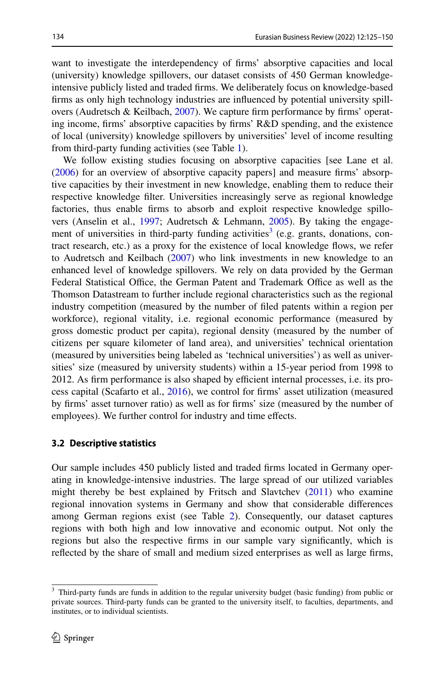want to investigate the interdependency of frms' absorptive capacities and local (university) knowledge spillovers, our dataset consists of 450 German knowledgeintensive publicly listed and traded frms. We deliberately focus on knowledge-based frms as only high technology industries are infuenced by potential university spillovers (Audretsch & Keilbach,  $2007$ ). We capture firm performance by firms' operating income, frms' absorptive capacities by frms' R&D spending, and the existence of local (university) knowledge spillovers by universities' level of income resulting from third-party funding activities (see Table [1](#page-10-0)).

We follow existing studies focusing on absorptive capacities [see Lane et al. [\(2006](#page-23-16)) for an overview of absorptive capacity papers] and measure frms' absorptive capacities by their investment in new knowledge, enabling them to reduce their respective knowledge flter. Universities increasingly serve as regional knowledge factories, thus enable frms to absorb and exploit respective knowledge spillo-vers (Anselin et al., [1997;](#page-20-14) Audretsch & Lehmann, [2005\)](#page-20-2). By taking the engage-ment of universities in third-party funding activities<sup>[3](#page-9-0)</sup> (e.g. grants, donations, contract research, etc.) as a proxy for the existence of local knowledge fows, we refer to Audretsch and Keilbach ([2007\)](#page-20-1) who link investments in new knowledge to an enhanced level of knowledge spillovers. We rely on data provided by the German Federal Statistical Office, the German Patent and Trademark Office as well as the Thomson Datastream to further include regional characteristics such as the regional industry competition (measured by the number of fled patents within a region per workforce), regional vitality, i.e. regional economic performance (measured by gross domestic product per capita), regional density (measured by the number of citizens per square kilometer of land area), and universities' technical orientation (measured by universities being labeled as 'technical universities') as well as universities' size (measured by university students) within a 15-year period from 1998 to 2012. As firm performance is also shaped by efficient internal processes, i.e. its process capital (Scafarto et al., [2016](#page-24-18)), we control for frms' asset utilization (measured by frms' asset turnover ratio) as well as for frms' size (measured by the number of employees). We further control for industry and time effects.

#### **3.2 Descriptive statistics**

Our sample includes 450 publicly listed and traded frms located in Germany operating in knowledge-intensive industries. The large spread of our utilized variables might thereby be best explained by Fritsch and Slavtchev ([2011\)](#page-22-24) who examine regional innovation systems in Germany and show that considerable diferences among German regions exist (see Table [2\)](#page-11-0). Consequently, our dataset captures regions with both high and low innovative and economic output. Not only the regions but also the respective frms in our sample vary signifcantly, which is refected by the share of small and medium sized enterprises as well as large frms,

<span id="page-9-0"></span><sup>&</sup>lt;sup>3</sup> Third-party funds are funds in addition to the regular university budget (basic funding) from public or private sources. Third-party funds can be granted to the university itself, to faculties, departments, and institutes, or to individual scientists.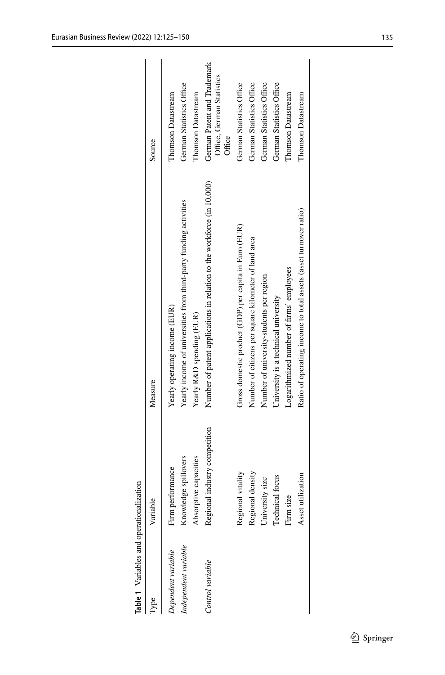<span id="page-10-0"></span>

| ype                                        | Variable                                                          | Measure                                                                                                                         | Source                                                               |
|--------------------------------------------|-------------------------------------------------------------------|---------------------------------------------------------------------------------------------------------------------------------|----------------------------------------------------------------------|
| Independent variable<br>Dependent variable | Knowledge spillovers<br>Absorptive capacities<br>Firm performance | Yearly income of universities from third-party funding activities<br>Yearly operating income (EUR)<br>Yearly R&D spending (EUR) | German Statistics Office<br>Thomson Datastream<br>Thomson Datastream |
| Control variable                           | Regional industry competition                                     | Number of patent applications in relation to the workforce (in 10,000)                                                          | German Patent and Trademark<br>Office, German Statistics<br>Office   |
|                                            | Regional vitality<br>Regional density                             | Gross domestic product (GDP) per capita in Euro (EUR)<br>Number of citizens per square kilometer of land area                   | German Statistics Office<br>German Statistics Office                 |
|                                            | University size                                                   | Number of university-students per region                                                                                        | German Statistics Office                                             |
|                                            | Technical focus                                                   | University is a technical university                                                                                            | German Statistics Office                                             |
|                                            | size<br>Firm                                                      | Logarithmized number of firms' employees                                                                                        | Thomson Datastream                                                   |
|                                            | Asset utilization                                                 | Ratio of operating income to total assets (asset turnover ratio)                                                                | Thomson Datastream                                                   |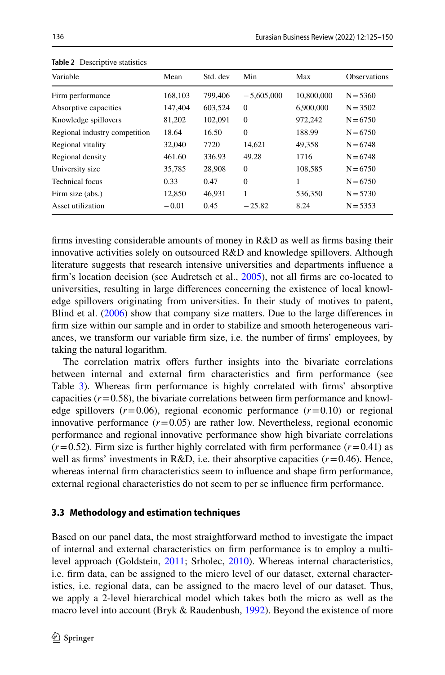| Variable                      | Mean    | Std. dev | Min          | Max        | <b>Observations</b> |
|-------------------------------|---------|----------|--------------|------------|---------------------|
| Firm performance              | 168,103 | 799.406  | $-5,605,000$ | 10,800,000 | $N = 5360$          |
| Absorptive capacities         | 147,404 | 603,524  | $\mathbf{0}$ | 6.900.000  | $N = 3502$          |
| Knowledge spillovers          | 81,202  | 102,091  | $\mathbf{0}$ | 972,242    | $N = 6750$          |
| Regional industry competition | 18.64   | 16.50    | $\mathbf{0}$ | 188.99     | $N = 6750$          |
| Regional vitality             | 32,040  | 7720     | 14.621       | 49,358     | $N = 6748$          |
| Regional density              | 461.60  | 336.93   | 49.28        | 1716       | $N = 6748$          |
| University size               | 35,785  | 28,908   | $\mathbf{0}$ | 108,585    | $N = 6750$          |
| Technical focus               | 0.33    | 0.47     | $\mathbf{0}$ |            | $N = 6750$          |
| Firm size (abs.)              | 12,850  | 46,931   | 1            | 536,350    | $N = 5730$          |
| Asset utilization             | $-0.01$ | 0.45     | $-25.82$     | 8.24       | $N = 5353$          |

<span id="page-11-0"></span>**Table 2** Descriptive statistics

frms investing considerable amounts of money in R&D as well as frms basing their innovative activities solely on outsourced R&D and knowledge spillovers. Although literature suggests that research intensive universities and departments infuence a frm's location decision (see Audretsch et al., [2005](#page-20-15)), not all frms are co-located to universities, resulting in large diferences concerning the existence of local knowledge spillovers originating from universities. In their study of motives to patent, Blind et al. ([2006\)](#page-21-18) show that company size matters. Due to the large diferences in frm size within our sample and in order to stabilize and smooth heterogeneous variances, we transform our variable frm size, i.e. the number of frms' employees, by taking the natural logarithm.

The correlation matrix offers further insights into the bivariate correlations between internal and external frm characteristics and frm performance (see Table [3](#page-12-0)). Whereas frm performance is highly correlated with frms' absorptive capacities  $(r=0.58)$ , the bivariate correlations between firm performance and knowledge spillovers  $(r=0.06)$ , regional economic performance  $(r=0.10)$  or regional innovative performance  $(r=0.05)$  are rather low. Nevertheless, regional economic performance and regional innovative performance show high bivariate correlations  $(r=0.52)$ . Firm size is further highly correlated with firm performance  $(r=0.41)$  as well as firms' investments in  $R&D$ , i.e. their absorptive capacities  $(r=0.46)$ . Hence, whereas internal frm characteristics seem to infuence and shape frm performance, external regional characteristics do not seem to per se infuence frm performance.

#### **3.3 Methodology and estimation techniques**

Based on our panel data, the most straightforward method to investigate the impact of internal and external characteristics on frm performance is to employ a multilevel approach (Goldstein, [2011](#page-22-25); Srholec, [2010\)](#page-24-19). Whereas internal characteristics, i.e. frm data, can be assigned to the micro level of our dataset, external characteristics, i.e. regional data, can be assigned to the macro level of our dataset. Thus, we apply a 2-level hierarchical model which takes both the micro as well as the macro level into account (Bryk & Raudenbush, [1992\)](#page-21-19). Beyond the existence of more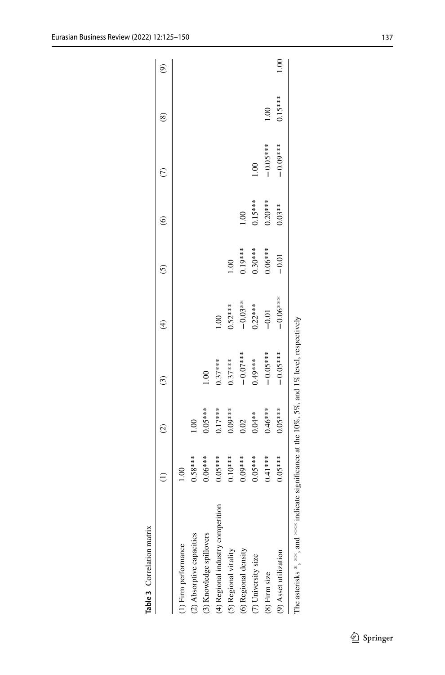<span id="page-12-0"></span>

| Table 3 Correlation matrix                                                                    |           |                    |             |               |                           |           |            |           |                          |
|-----------------------------------------------------------------------------------------------|-----------|--------------------|-------------|---------------|---------------------------|-----------|------------|-----------|--------------------------|
|                                                                                               |           | $\widehat{\omega}$ | $\odot$     | €             | $\widetilde{\mathcal{O}}$ | ၜ         |            | է         | ම                        |
| 1) Firm performance                                                                           | <u>ප</u>  |                    |             |               |                           |           |            |           |                          |
| (2) Absorptive capacities                                                                     | $0.58***$ | 001                |             |               |                           |           |            |           |                          |
| (3) Knowledge spillovers                                                                      | $0.06***$ | $0.05***$          |             |               |                           |           |            |           |                          |
| (4) Regional industry competition                                                             | $0.05***$ | $0.17***$          | $0.37***$   | $\frac{8}{1}$ |                           |           |            |           |                          |
| (5) Regional vitality                                                                         | $0.10***$ | $0.09***$          | $0.37***$   | $0.52***$     | 1.00                      |           |            |           |                          |
| (6) Regional density                                                                          | $0.09***$ | 0.02               | $-0.07$ *** | $-0.03**$     | $0.19***$                 | 00.1      |            |           |                          |
| (7) University size                                                                           | $0.05***$ | $0.04**$           | $0.49***$   | $0.22***$     | $0.30***$                 | $0.15***$ |            |           |                          |
| (8) Firm size                                                                                 | $0.41***$ | $0.46***$          | $-0.05***$  | $-0.01$       | $0.06***$                 | $0.20***$ | $-0.05***$ | $\approx$ |                          |
| (9) Asset utilization                                                                         | $0.05***$ | $0.05***$          | $-0.05***$  | $-0.06***$    | $-0.01$                   | $0.03**$  | $-0.00*$   | $0.15***$ | $\widetilde{\mathrm{S}}$ |
| The asterisks *, **, and *** indicate significance at the 10%, 5%, and 1% level, respectively |           |                    |             |               |                           |           |            |           |                          |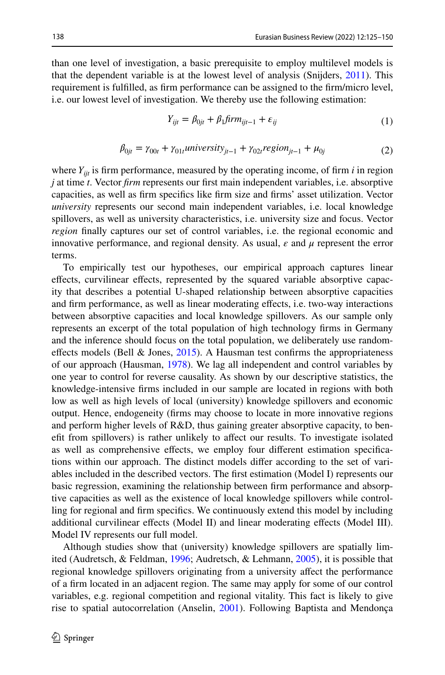than one level of investigation, a basic prerequisite to employ multilevel models is that the dependent variable is at the lowest level of analysis (Snijders, [2011](#page-24-20)). This requirement is fulflled, as frm performance can be assigned to the frm/micro level, i.e. our lowest level of investigation. We thereby use the following estimation:

$$
Y_{ijt} = \beta_{0jt} + \beta_1 \text{firm}_{ijt-1} + \varepsilon_{ij}
$$
\n<sup>(1)</sup>

$$
\beta_{0jt} = \gamma_{00t} + \gamma_{01t} \text{university}_{jt-1} + \gamma_{02t} \text{region}_{jt-1} + \mu_{0j} \tag{2}
$$

where  $Y_{ijt}$  is firm performance, measured by the operating income, of firm  $i$  in region *j* at time *t*. Vector *frm* represents our frst main independent variables, i.e. absorptive capacities, as well as frm specifcs like frm size and frms' asset utilization. Vector *university* represents our second main independent variables, i.e. local knowledge spillovers, as well as university characteristics, i.e. university size and focus. Vector *region* fnally captures our set of control variables, i.e. the regional economic and innovative performance, and regional density. As usual,  $\varepsilon$  and  $\mu$  represent the error terms.

To empirically test our hypotheses, our empirical approach captures linear efects, curvilinear efects, represented by the squared variable absorptive capacity that describes a potential U-shaped relationship between absorptive capacities and frm performance, as well as linear moderating efects, i.e. two-way interactions between absorptive capacities and local knowledge spillovers. As our sample only represents an excerpt of the total population of high technology frms in Germany and the inference should focus on the total population, we deliberately use randomeffects models (Bell & Jones,  $2015$ ). A Hausman test confirms the appropriateness of our approach (Hausman, [1978\)](#page-22-26). We lag all independent and control variables by one year to control for reverse causality. As shown by our descriptive statistics, the knowledge-intensive frms included in our sample are located in regions with both low as well as high levels of local (university) knowledge spillovers and economic output. Hence, endogeneity (frms may choose to locate in more innovative regions and perform higher levels of R&D, thus gaining greater absorptive capacity, to beneft from spillovers) is rather unlikely to afect our results. To investigate isolated as well as comprehensive efects, we employ four diferent estimation specifcations within our approach. The distinct models difer according to the set of variables included in the described vectors. The frst estimation (Model I) represents our basic regression, examining the relationship between frm performance and absorptive capacities as well as the existence of local knowledge spillovers while controlling for regional and frm specifcs. We continuously extend this model by including additional curvilinear efects (Model II) and linear moderating efects (Model III). Model IV represents our full model.

Although studies show that (university) knowledge spillovers are spatially limited (Audretsch, & Feldman, [1996;](#page-20-11) Audretsch, & Lehmann, [2005](#page-20-2)), it is possible that regional knowledge spillovers originating from a university afect the performance of a frm located in an adjacent region. The same may apply for some of our control variables, e.g. regional competition and regional vitality. This fact is likely to give rise to spatial autocorrelation (Anselin, [2001\)](#page-20-22). Following Baptista and Mendonça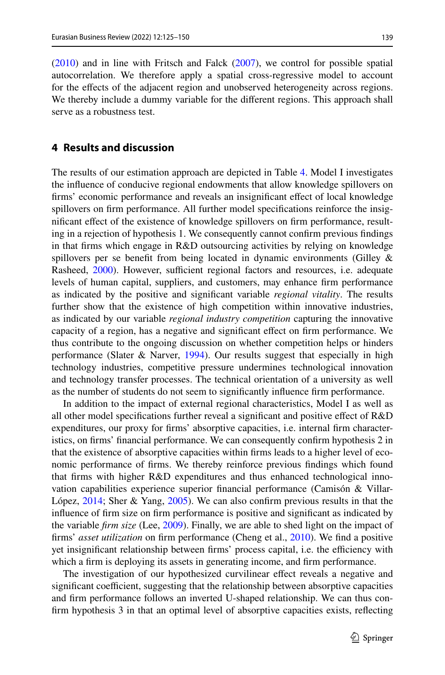[\(2010](#page-20-23)) and in line with Fritsch and Falck [\(2007](#page-22-27)), we control for possible spatial autocorrelation. We therefore apply a spatial cross-regressive model to account for the efects of the adjacent region and unobserved heterogeneity across regions. We thereby include a dummy variable for the diferent regions. This approach shall serve as a robustness test.

### **4 Results and discussion**

The results of our estimation approach are depicted in Table [4.](#page-15-0) Model I investigates the infuence of conducive regional endowments that allow knowledge spillovers on frms' economic performance and reveals an insignifcant efect of local knowledge spillovers on frm performance. All further model specifcations reinforce the insignifcant efect of the existence of knowledge spillovers on frm performance, resulting in a rejection of hypothesis 1. We consequently cannot confrm previous fndings in that frms which engage in R&D outsourcing activities by relying on knowledge spillovers per se beneft from being located in dynamic environments (Gilley & Rasheed, [2000\)](#page-22-28). However, sufficient regional factors and resources, i.e. adequate levels of human capital, suppliers, and customers, may enhance frm performance as indicated by the positive and signifcant variable *regional vitality*. The results further show that the existence of high competition within innovative industries, as indicated by our variable *regional industry competition* capturing the innovative capacity of a region, has a negative and signifcant efect on frm performance. We thus contribute to the ongoing discussion on whether competition helps or hinders performance (Slater & Narver, [1994](#page-24-21)). Our results suggest that especially in high technology industries, competitive pressure undermines technological innovation and technology transfer processes. The technical orientation of a university as well as the number of students do not seem to signifcantly infuence frm performance.

In addition to the impact of external regional characteristics, Model I as well as all other model specifcations further reveal a signifcant and positive efect of R&D expenditures, our proxy for frms' absorptive capacities, i.e. internal frm characteristics, on frms' fnancial performance. We can consequently confrm hypothesis 2 in that the existence of absorptive capacities within frms leads to a higher level of economic performance of frms. We thereby reinforce previous fndings which found that frms with higher R&D expenditures and thus enhanced technological innovation capabilities experience superior fnancial performance (Camisón & Villar-López, [2014](#page-21-20); Sher & Yang, [2005\)](#page-24-22). We can also confrm previous results in that the infuence of frm size on frm performance is positive and signifcant as indicated by the variable *frm size* (Lee, [2009\)](#page-23-26). Finally, we are able to shed light on the impact of frms' *asset utilization* on frm performance (Cheng et al., [2010\)](#page-21-21). We fnd a positive yet insignificant relationship between firms' process capital, i.e. the efficiency with which a frm is deploying its assets in generating income, and frm performance.

The investigation of our hypothesized curvilinear efect reveals a negative and significant coefficient, suggesting that the relationship between absorptive capacities and frm performance follows an inverted U-shaped relationship. We can thus confrm hypothesis 3 in that an optimal level of absorptive capacities exists, refecting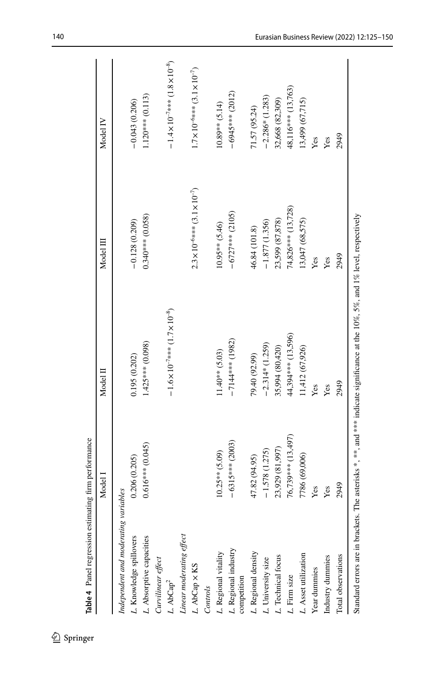<span id="page-15-0"></span>

|                                      | Model I            | Model II                                     | Model III                                       | Model IV                                         |
|--------------------------------------|--------------------|----------------------------------------------|-------------------------------------------------|--------------------------------------------------|
|                                      |                    |                                              |                                                 |                                                  |
| Independent and moderating variables |                    |                                              |                                                 |                                                  |
| Knowledge spillovers                 | 0.206(0.205)       | 0.195(0.202)                                 | $-0.128(0.209)$                                 | $-0.043(0.206)$                                  |
| L. Absorptive capacities             | $0.616***$ (0.045) | $1.425***$ (0.098)                           | $0.340***$ (0.058)                              | $1.120***$ (0.113)                               |
| Curvilinear effect                   |                    |                                              |                                                 |                                                  |
| L. $AbCap^2$                         |                    | $-1.6\times10^{-7}$ *** $(1.7\times10^{-8})$ |                                                 | $-1.4 \times 10^{-7}$ *** $(1.8 \times 10^{-8})$ |
| Linear moderating effect             |                    |                                              |                                                 |                                                  |
| L. AbCap × KS                        |                    |                                              | $2.3 \times 10^{-6}$ *** $(3.1 \times 10^{-7})$ | $1.7 \times 10^{-6***}$ (3.1×10 <sup>-7</sup> )  |
| Controls                             |                    |                                              |                                                 |                                                  |
| L. Regional vitality                 | $10.25**$ (5.09)   | $11.40**$ (5.03)                             | $10.95***$ (5.46)                               | $10.89**$ (5.14)                                 |
| L. Regional industry<br>competition  | $-6315***$ (2003)  | $-7144***$ (1982)                            | $-6727***$ (2105)                               | $-6945***$ (2012)                                |
| L. Regional density                  | 47.82 (94.95)      | 79.40 (92.99)                                | 46.84 (101.8)                                   | 71.57 (95.24)                                    |
| L. University size                   | $-1.578(1.275)$    | $-2.314*(1.259)$                             | $-1.877(1.356)$                                 | $-2.286*$ (1.283)                                |
| L. Technical focus                   | 23,929 (81,997)    | 35,994 (80,420)                              | 23,599 (87,878)                                 | 32,668 (82,309)                                  |
| L. Firm size                         | 76,739*** (13,497) | 44,394*** (13,596)                           | 74,826*** (13,728)                              | 48,116*** (13,763)                               |
| L. Asset utilization                 | 7786 (69,006)      | 11,412 (67,926)                              | 13,047 (68,575)                                 | 13,499 (67,715)                                  |
| Year dummies                         | Yes                | Yes                                          | Yes                                             | Yes                                              |
| Industry dummies                     | Yes                | Yes                                          | Yes                                             | Yes                                              |
| Total observations                   | 2949               | 2949                                         | 2949                                            | 2949                                             |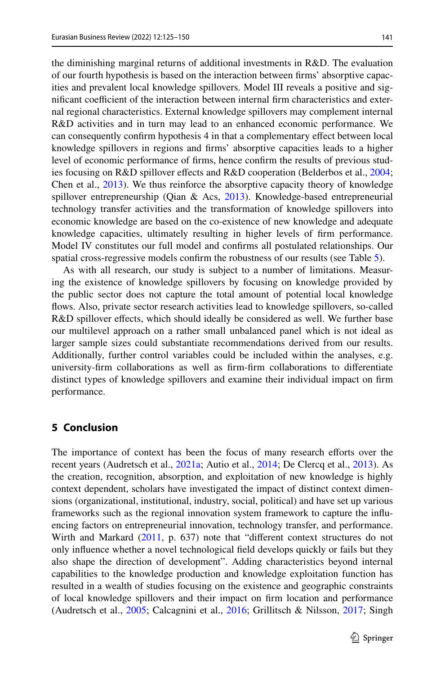the diminishing marginal returns of additional investments in R&D. The evaluation of our fourth hypothesis is based on the interaction between frms' absorptive capacities and prevalent local knowledge spillovers. Model III reveals a positive and significant coefficient of the interaction between internal firm characteristics and external regional characteristics. External knowledge spillovers may complement internal R&D activities and in turn may lead to an enhanced economic performance. We can consequently confrm hypothesis 4 in that a complementary efect between local knowledge spillovers in regions and frms' absorptive capacities leads to a higher level of economic performance of frms, hence confrm the results of previous stud-ies focusing on R&D spillover effects and R&D cooperation (Belderbos et al., [2004;](#page-20-24) Chen et al., [2013\)](#page-21-22). We thus reinforce the absorptive capacity theory of knowledge spillover entrepreneurship (Qian & Acs, [2013](#page-23-17)). Knowledge-based entrepreneurial technology transfer activities and the transformation of knowledge spillovers into economic knowledge are based on the co-existence of new knowledge and adequate knowledge capacities, ultimately resulting in higher levels of frm performance. Model IV constitutes our full model and confrms all postulated relationships. Our spatial cross-regressive models confrm the robustness of our results (see Table [5\)](#page-17-0).

As with all research, our study is subject to a number of limitations. Measuring the existence of knowledge spillovers by focusing on knowledge provided by the public sector does not capture the total amount of potential local knowledge fows. Also, private sector research activities lead to knowledge spillovers, so-called R&D spillover effects, which should ideally be considered as well. We further base our multilevel approach on a rather small unbalanced panel which is not ideal as larger sample sizes could substantiate recommendations derived from our results. Additionally, further control variables could be included within the analyses, e.g. university-frm collaborations as well as frm-frm collaborations to diferentiate distinct types of knowledge spillovers and examine their individual impact on frm performance.

### **5 Conclusion**

The importance of context has been the focus of many research efforts over the recent years (Audretsch et al., [2021a](#page-20-25); Autio et al., [2014](#page-20-26); De Clercq et al., [2013\)](#page-21-23). As the creation, recognition, absorption, and exploitation of new knowledge is highly context dependent, scholars have investigated the impact of distinct context dimensions (organizational, institutional, industry, social, political) and have set up various frameworks such as the regional innovation system framework to capture the infuencing factors on entrepreneurial innovation, technology transfer, and performance. Wirth and Markard ([2011,](#page-24-23) p. 637) note that "diferent context structures do not only infuence whether a novel technological feld develops quickly or fails but they also shape the direction of development". Adding characteristics beyond internal capabilities to the knowledge production and knowledge exploitation function has resulted in a wealth of studies focusing on the existence and geographic constraints of local knowledge spillovers and their impact on frm location and performance (Audretsch et al., [2005;](#page-20-15) Calcagnini et al., [2016;](#page-21-24) Grillitsch & Nilsson, [2017;](#page-22-2) Singh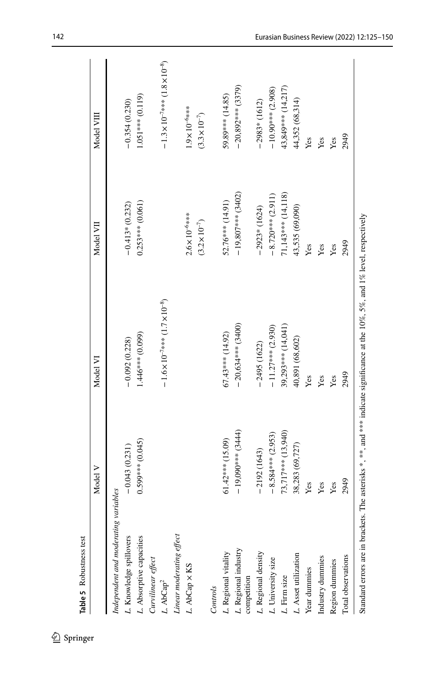<span id="page-17-0"></span>

|                                      | Model V             | Model VI                                                                                                                              | Model VII               | Model VIII                                       |
|--------------------------------------|---------------------|---------------------------------------------------------------------------------------------------------------------------------------|-------------------------|--------------------------------------------------|
| Independent and moderating variables |                     |                                                                                                                                       |                         |                                                  |
| . Knowledge spillovers               | $-0.043(0.231)$     | $-0.092(0.228)$                                                                                                                       | $-0.413*(0.232)$        | $-0.354(0.230)$                                  |
| L. Absorptive capacities             | $0.599***$ (0.045)  | 1.446*** (0.099)                                                                                                                      | $0.253***$ (0.061)      | $1.051***$ (0.119)                               |
| Curvilinear effect                   |                     |                                                                                                                                       |                         |                                                  |
| L. $AbCap^2$                         |                     | $-1.6 \times 10^{-7}$ *** $(1.7 \times 10^{-8})$                                                                                      |                         | $-1.3 \times 10^{-7}$ *** $(1.8 \times 10^{-8})$ |
| Linear moderating effect             |                     |                                                                                                                                       |                         |                                                  |
| L. AbCap × KS                        |                     |                                                                                                                                       | $2.6 \times 10^{-6***}$ | $1.9 \times 10^{-6***}$                          |
|                                      |                     |                                                                                                                                       | $(3.2 \times 10^{-7})$  | $(3.3 \times 10^{-7})$                           |
| Controls                             |                     |                                                                                                                                       |                         |                                                  |
| . Regional vitality                  | $61.42***$ (15.09)  | $67.43***$ (14.92)                                                                                                                    | 52.76*** (14.91)        | 59.89*** (14.85)                                 |
| L. Regional industry<br>competition  | $-19,090***$ (3444) | $-20,634***$ (3400)                                                                                                                   | $-19,807***$ (3402)     | $-20,892***$ (3379)                              |
|                                      |                     |                                                                                                                                       |                         |                                                  |
| Regional density                     | $-2192(1643)$       | $-2495(1622)$                                                                                                                         | $-2923*(1624)$          | $-2983*(1612)$                                   |
| L. University size                   | $-8.584***$ (2.953) | $-11.27***$ (2.930)                                                                                                                   | $-8.720***$ (2.911)     | $-10.90***$ (2.908)                              |
| L. Firm size                         | 73,717*** (13,940)  | 39,293*** (14,041)                                                                                                                    | 71,143*** (14,118)      | 43,849*** (14,217)                               |
| Asset utilization                    | 38,283 (69,727)     | 40,891 (68,602)                                                                                                                       | 43,535 (69,090)         | 44,352 (68,314)                                  |
| Year dummies                         | Yes                 | Yes                                                                                                                                   | Yes                     | Yes                                              |
| Industry dummies                     | Yes                 | Yes                                                                                                                                   | Yes                     | Yes                                              |
| Region dummies                       | Yes                 | Yes                                                                                                                                   | Yes                     | Yes                                              |
| Total observations                   | 2949                | 2949                                                                                                                                  | 2949                    | 2949                                             |
|                                      |                     | Standard errors are in brackets. The asterisks $*$ , $**$ , and $**$ indicate significance at the 10%, 5%, and 1% level, respectively |                         |                                                  |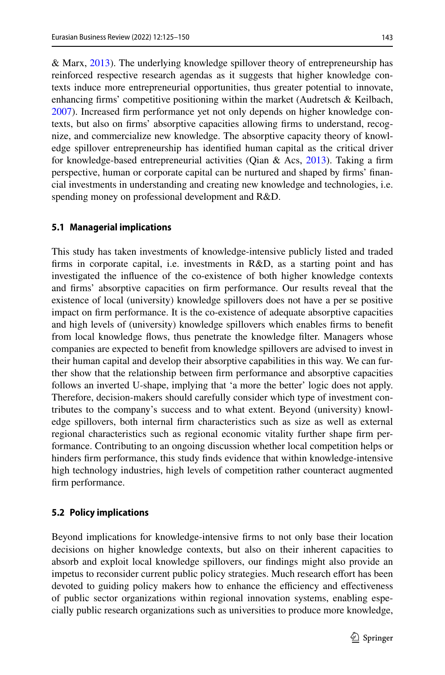& Marx, [2013\)](#page-24-24). The underlying knowledge spillover theory of entrepreneurship has reinforced respective research agendas as it suggests that higher knowledge contexts induce more entrepreneurial opportunities, thus greater potential to innovate, enhancing frms' competitive positioning within the market (Audretsch & Keilbach, [2007](#page-20-1)). Increased frm performance yet not only depends on higher knowledge contexts, but also on frms' absorptive capacities allowing frms to understand, recognize, and commercialize new knowledge. The absorptive capacity theory of knowledge spillover entrepreneurship has identifed human capital as the critical driver for knowledge-based entrepreneurial activities (Qian & Acs,  $2013$ ). Taking a firm perspective, human or corporate capital can be nurtured and shaped by frms' fnancial investments in understanding and creating new knowledge and technologies, i.e. spending money on professional development and R&D.

#### **5.1 Managerial implications**

This study has taken investments of knowledge-intensive publicly listed and traded frms in corporate capital, i.e. investments in R&D, as a starting point and has investigated the infuence of the co-existence of both higher knowledge contexts and frms' absorptive capacities on frm performance. Our results reveal that the existence of local (university) knowledge spillovers does not have a per se positive impact on frm performance. It is the co-existence of adequate absorptive capacities and high levels of (university) knowledge spillovers which enables frms to beneft from local knowledge fows, thus penetrate the knowledge flter. Managers whose companies are expected to beneft from knowledge spillovers are advised to invest in their human capital and develop their absorptive capabilities in this way. We can further show that the relationship between frm performance and absorptive capacities follows an inverted U-shape, implying that 'a more the better' logic does not apply. Therefore, decision-makers should carefully consider which type of investment contributes to the company's success and to what extent. Beyond (university) knowledge spillovers, both internal frm characteristics such as size as well as external regional characteristics such as regional economic vitality further shape frm performance. Contributing to an ongoing discussion whether local competition helps or hinders frm performance, this study fnds evidence that within knowledge-intensive high technology industries, high levels of competition rather counteract augmented frm performance.

#### **5.2 Policy implications**

Beyond implications for knowledge-intensive frms to not only base their location decisions on higher knowledge contexts, but also on their inherent capacities to absorb and exploit local knowledge spillovers, our fndings might also provide an impetus to reconsider current public policy strategies. Much research efort has been devoted to guiding policy makers how to enhance the efficiency and effectiveness of public sector organizations within regional innovation systems, enabling especially public research organizations such as universities to produce more knowledge,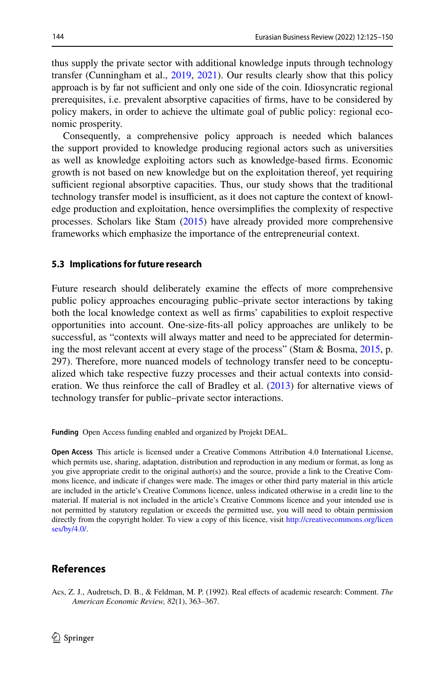thus supply the private sector with additional knowledge inputs through technology transfer (Cunningham et al., [2019](#page-21-6), [2021\)](#page-21-7). Our results clearly show that this policy approach is by far not sufficient and only one side of the coin. Idiosyncratic regional prerequisites, i.e. prevalent absorptive capacities of frms, have to be considered by policy makers, in order to achieve the ultimate goal of public policy: regional economic prosperity.

Consequently, a comprehensive policy approach is needed which balances the support provided to knowledge producing regional actors such as universities as well as knowledge exploiting actors such as knowledge-based frms. Economic growth is not based on new knowledge but on the exploitation thereof, yet requiring sufficient regional absorptive capacities. Thus, our study shows that the traditional technology transfer model is insufficient, as it does not capture the context of knowledge production and exploitation, hence oversimplifes the complexity of respective processes. Scholars like Stam [\(2015](#page-24-5)) have already provided more comprehensive frameworks which emphasize the importance of the entrepreneurial context.

#### **5.3 Implications for future research**

Future research should deliberately examine the efects of more comprehensive public policy approaches encouraging public–private sector interactions by taking both the local knowledge context as well as frms' capabilities to exploit respective opportunities into account. One-size-fts-all policy approaches are unlikely to be successful, as "contexts will always matter and need to be appreciated for determining the most relevant accent at every stage of the process" (Stam & Bosma, [2015,](#page-24-25) p. 297). Therefore, more nuanced models of technology transfer need to be conceptualized which take respective fuzzy processes and their actual contexts into consideration. We thus reinforce the call of Bradley et al. ([2013\)](#page-21-25) for alternative views of technology transfer for public–private sector interactions.

**Funding** Open Access funding enabled and organized by Projekt DEAL.

**Open Access** This article is licensed under a Creative Commons Attribution 4.0 International License, which permits use, sharing, adaptation, distribution and reproduction in any medium or format, as long as you give appropriate credit to the original author(s) and the source, provide a link to the Creative Commons licence, and indicate if changes were made. The images or other third party material in this article are included in the article's Creative Commons licence, unless indicated otherwise in a credit line to the material. If material is not included in the article's Creative Commons licence and your intended use is not permitted by statutory regulation or exceeds the permitted use, you will need to obtain permission directly from the copyright holder. To view a copy of this licence, visit [http://creativecommons.org/licen](http://creativecommons.org/licenses/by/4.0/) [ses/by/4.0/](http://creativecommons.org/licenses/by/4.0/).

#### **References**

<span id="page-19-0"></span>Acs, Z. J., Audretsch, D. B., & Feldman, M. P. (1992). Real efects of academic research: Comment. *The American Economic Review, 82*(1), 363–367.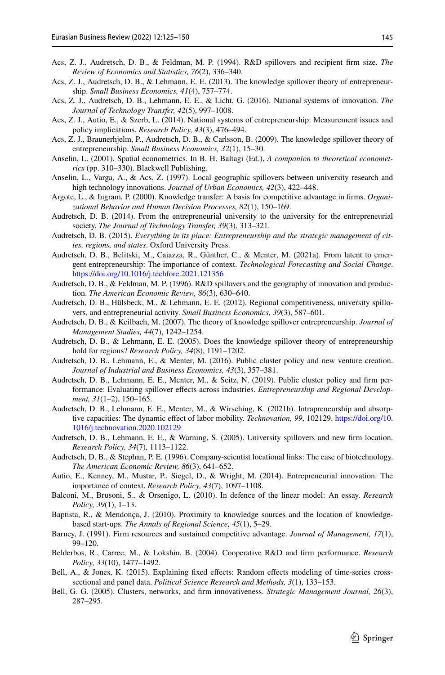- <span id="page-20-9"></span>Acs, Z. J., Audretsch, D. B., & Feldman, M. P. (1994). R&D spillovers and recipient frm size. *The Review of Economics and Statistics, 76*(2), 336–340.
- <span id="page-20-8"></span>Acs, Z. J., Audretsch, D. B., & Lehmann, E. E. (2013). The knowledge spillover theory of entrepreneurship. *Small Business Economics, 41*(4), 757–774.
- <span id="page-20-13"></span>Acs, Z. J., Audretsch, D. B., Lehmann, E. E., & Licht, G. (2016). National systems of innovation. *The Journal of Technology Transfer, 42*(5), 997–1008.
- <span id="page-20-16"></span>Acs, Z. J., Autio, E., & Szerb, L. (2014). National systems of entrepreneurship: Measurement issues and policy implications. *Research Policy, 43*(3), 476–494.
- <span id="page-20-7"></span>Acs, Z. J., Braunerhjelm, P., Audretsch, D. B., & Carlsson, B. (2009). The knowledge spillover theory of entrepreneurship. *Small Business Economics, 32*(1), 15–30.
- <span id="page-20-22"></span>Anselin, L. (2001). Spatial econometrics. In B. H. Baltagi (Ed.), *A companion to theoretical econometrics* (pp. 310–330). Blackwell Publishing.
- <span id="page-20-14"></span>Anselin, L., Varga, A., & Acs, Z. (1997). Local geographic spillovers between university research and high technology innovations. *Journal of Urban Economics, 42*(3), 422–448.
- <span id="page-20-6"></span>Argote, L., & Ingram, P. (2000). Knowledge transfer: A basis for competitive advantage in frms. *Organizational Behavior and Human Decision Processes, 82*(1), 150–169.
- <span id="page-20-10"></span>Audretsch, D. B. (2014). From the entrepreneurial university to the university for the entrepreneurial society. *The Journal of Technology Transfer, 39*(3), 313–321.
- <span id="page-20-0"></span>Audretsch, D. B. (2015). *Everything in its place: Entrepreneurship and the strategic management of cities, regions, and states*. Oxford University Press.
- <span id="page-20-25"></span>Audretsch, D. B., Belitski, M., Caiazza, R., Günther, C., & Menter, M. (2021a). From latent to emergent entrepreneurship: The importance of context. *Technological Forecasting and Social Change*. <https://doi.org/10.1016/j.techfore.2021.121356>
- <span id="page-20-11"></span>Audretsch, D. B., & Feldman, M. P. (1996). R&D spillovers and the geography of innovation and production. *The American Economic Review, 86*(3), 630–640.
- <span id="page-20-4"></span>Audretsch, D. B., Hülsbeck, M., & Lehmann, E. E. (2012). Regional competitiveness, university spillovers, and entrepreneurial activity. *Small Business Economics, 39*(3), 587–601.
- <span id="page-20-1"></span>Audretsch, D. B., & Keilbach, M. (2007). The theory of knowledge spillover entrepreneurship. *Journal of Management Studies, 44*(7), 1242–1254.
- <span id="page-20-2"></span>Audretsch, D. B., & Lehmann, E. E. (2005). Does the knowledge spillover theory of entrepreneurship hold for regions? *Research Policy, 34*(8), 1191–1202.
- <span id="page-20-17"></span>Audretsch, D. B., Lehmann, E., & Menter, M. (2016). Public cluster policy and new venture creation. *Journal of Industrial and Business Economics, 43*(3), 357–381.
- <span id="page-20-3"></span>Audretsch, D. B., Lehmann, E. E., Menter, M., & Seitz, N. (2019). Public cluster policy and frm performance: Evaluating spillover efects across industries. *Entrepreneurship and Regional Development, 31*(1–2), 150–165.
- <span id="page-20-18"></span>Audretsch, D. B., Lehmann, E. E., Menter, M., & Wirsching, K. (2021b). Intrapreneurship and absorptive capacities: The dynamic efect of labor mobility. *Technovation, 99*, 102129. [https://doi.org/10.](https://doi.org/10.1016/j.technovation.2020.102129) [1016/j.technovation.2020.102129](https://doi.org/10.1016/j.technovation.2020.102129)
- <span id="page-20-15"></span>Audretsch, D. B., Lehmann, E. E., & Warning, S. (2005). University spillovers and new frm location. *Research Policy, 34*(7), 1113–1122.
- <span id="page-20-12"></span>Audretsch, D. B., & Stephan, P. E. (1996). Company-scientist locational links: The case of biotechnology. *The American Economic Review, 86*(3), 641–652.
- <span id="page-20-26"></span>Autio, E., Kenney, M., Mustar, P., Siegel, D., & Wright, M. (2014). Entrepreneurial innovation: The importance of context. *Research Policy, 43*(7), 1097–1108.
- <span id="page-20-19"></span>Balconi, M., Brusoni, S., & Orsenigo, L. (2010). In defence of the linear model: An essay. *Research Policy, 39*(1), 1–13.
- <span id="page-20-23"></span>Baptista, R., & Mendonça, J. (2010). Proximity to knowledge sources and the location of knowledgebased start-ups. *The Annals of Regional Science, 45*(1), 5–29.
- <span id="page-20-5"></span>Barney, J. (1991). Firm resources and sustained competitive advantage. *Journal of Management, 17*(1), 99–120.
- <span id="page-20-24"></span>Belderbos, R., Carree, M., & Lokshin, B. (2004). Cooperative R&D and frm performance. *Research Policy, 33*(10), 1477–1492.
- <span id="page-20-21"></span>Bell, A., & Jones, K. (2015). Explaining fixed effects: Random effects modeling of time-series crosssectional and panel data. *Political Science Research and Methods, 3*(1), 133–153.
- <span id="page-20-20"></span>Bell, G. G. (2005). Clusters, networks, and frm innovativeness. *Strategic Management Journal, 26*(3), 287–295.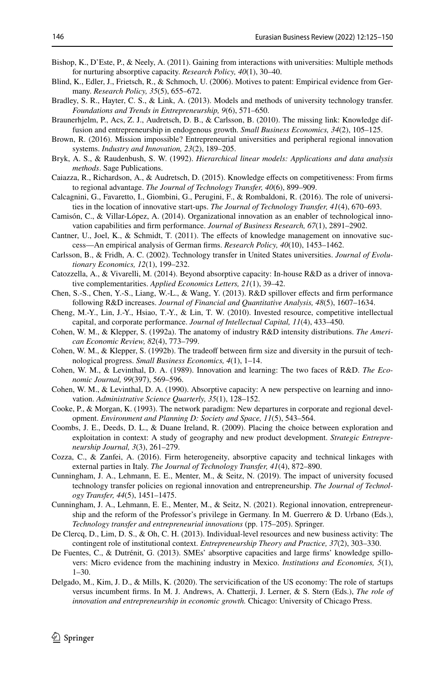- <span id="page-21-5"></span>Bishop, K., D'Este, P., & Neely, A. (2011). Gaining from interactions with universities: Multiple methods for nurturing absorptive capacity. *Research Policy, 40*(1), 30–40.
- <span id="page-21-18"></span>Blind, K., Edler, J., Frietsch, R., & Schmoch, U. (2006). Motives to patent: Empirical evidence from Germany. *Research Policy, 35*(5), 655–672.
- <span id="page-21-25"></span>Bradley, S. R., Hayter, C. S., & Link, A. (2013). Models and methods of university technology transfer. *Foundations and Trends in Entrepreneurship, 9*(6), 571–650.
- <span id="page-21-10"></span>Braunerhjelm, P., Acs, Z. J., Audretsch, D. B., & Carlsson, B. (2010). The missing link: Knowledge diffusion and entrepreneurship in endogenous growth. *Small Business Economics, 34*(2), 105–125.
- <span id="page-21-0"></span>Brown, R. (2016). Mission impossible? Entrepreneurial universities and peripheral regional innovation systems. *Industry and Innovation, 23*(2), 189–205.
- <span id="page-21-19"></span>Bryk, A. S., & Raudenbush, S. W. (1992). *Hierarchical linear models: Applications and data analysis methods*. Sage Publications.
- <span id="page-21-2"></span>Caiazza, R., Richardson, A., & Audretsch, D. (2015). Knowledge efects on competitiveness: From frms to regional advantage. *The Journal of Technology Transfer, 40*(6), 899–909.
- <span id="page-21-24"></span>Calcagnini, G., Favaretto, I., Giombini, G., Perugini, F., & Rombaldoni, R. (2016). The role of universities in the location of innovative start-ups. *The Journal of Technology Transfer, 41*(4), 670–693.
- <span id="page-21-20"></span>Camisón, C., & Villar-López, A. (2014). Organizational innovation as an enabler of technological innovation capabilities and frm performance. *Journal of Business Research, 67*(1), 2891–2902.
- <span id="page-21-3"></span>Cantner, U., Joel, K., & Schmidt, T. (2011). The effects of knowledge management on innovative success—An empirical analysis of German frms. *Research Policy, 40*(10), 1453–1462.
- <span id="page-21-9"></span>Carlsson, B., & Fridh, A. C. (2002). Technology transfer in United States universities. *Journal of Evolutionary Economics, 12*(1), 199–232.
- <span id="page-21-12"></span>Catozzella, A., & Vivarelli, M. (2014). Beyond absorptive capacity: In-house R&D as a driver of innovative complementarities. *Applied Economics Letters, 21*(1), 39–42.
- <span id="page-21-22"></span>Chen, S.-S., Chen, Y.-S., Liang, W.-L., & Wang, Y. (2013). R&D spillover efects and frm performance following R&D increases. *Journal of Financial and Quantitative Analysis, 48*(5), 1607–1634.
- <span id="page-21-21"></span>Cheng, M.-Y., Lin, J.-Y., Hsiao, T.-Y., & Lin, T. W. (2010). Invested resource, competitive intellectual capital, and corporate performance. *Journal of Intellectual Capital, 11*(4), 433–450.
- <span id="page-21-15"></span>Cohen, W. M., & Klepper, S. (1992a). The anatomy of industry R&D intensity distributions. *The American Economic Review, 82*(4), 773–799.
- <span id="page-21-16"></span>Cohen, W. M., & Klepper, S. (1992b). The tradeoff between firm size and diversity in the pursuit of technological progress. *Small Business Economics, 4*(1), 1–14.
- <span id="page-21-11"></span>Cohen, W. M., & Levinthal, D. A. (1989). Innovation and learning: The two faces of R&D. *The Economic Journal, 99*(397), 569–596.
- <span id="page-21-1"></span>Cohen, W. M., & Levinthal, D. A. (1990). Absorptive capacity: A new perspective on learning and innovation. *Administrative Science Quarterly, 35*(1), 128–152.
- <span id="page-21-8"></span>Cooke, P., & Morgan, K. (1993). The network paradigm: New departures in corporate and regional development. *Environment and Planning D: Society and Space, 11*(5), 543–564.
- <span id="page-21-17"></span>Coombs, J. E., Deeds, D. L., & Duane Ireland, R. (2009). Placing the choice between exploration and exploitation in context: A study of geography and new product development. *Strategic Entrepreneurship Journal, 3*(3), 261–279.
- <span id="page-21-14"></span>Cozza, C., & Zanfei, A. (2016). Firm heterogeneity, absorptive capacity and technical linkages with external parties in Italy. *The Journal of Technology Transfer, 41*(4), 872–890.
- <span id="page-21-6"></span>Cunningham, J. A., Lehmann, E. E., Menter, M., & Seitz, N. (2019). The impact of university focused technology transfer policies on regional innovation and entrepreneurship. *The Journal of Technology Transfer, 44*(5), 1451–1475.
- <span id="page-21-7"></span>Cunningham, J. A., Lehmann, E. E., Menter, M., & Seitz, N. (2021). Regional innovation, entrepreneurship and the reform of the Professor's privilege in Germany. In M. Guerrero & D. Urbano (Eds.), *Technology transfer and entrepreneurial innovations* (pp. 175–205). Springer.
- <span id="page-21-23"></span>De Clercq, D., Lim, D. S., & Oh, C. H. (2013). Individual-level resources and new business activity: The contingent role of institutional context. *Entrepreneurship Theory and Practice, 37*(2), 303–330.
- <span id="page-21-4"></span>De Fuentes, C., & Dutrénit, G. (2013). SMEs' absorptive capacities and large frms' knowledge spillovers: Micro evidence from the machining industry in Mexico. *Institutions and Economies, 5*(1), 1–30.
- <span id="page-21-13"></span>Delgado, M., Kim, J. D., & Mills, K. (2020). The servicifcation of the US economy: The role of startups versus incumbent frms. In M. J. Andrews, A. Chatterji, J. Lerner, & S. Stern (Eds.), *The role of innovation and entrepreneurship in economic growth.* Chicago: University of Chicago Press.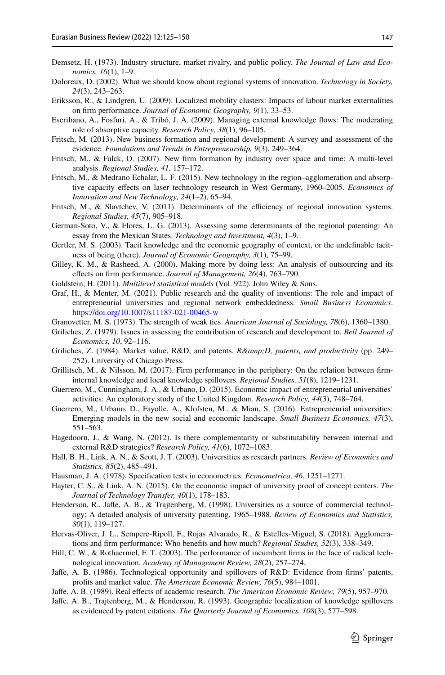- <span id="page-22-21"></span>Demsetz, H. (1973). Industry structure, market rivalry, and public policy. *The Journal of Law and Economics, 16*(1), 1–9.
- <span id="page-22-10"></span>Doloreux, D. (2002). What we should know about regional systems of innovation. *Technology in Society, 24*(3), 243–263.
- <span id="page-22-3"></span>Eriksson, R., & Lindgren, U. (2009). Localized mobility clusters: Impacts of labour market externalities on frm performance. *Journal of Economic Geography, 9*(1), 33–53.
- <span id="page-22-1"></span>Escribano, A., Fosfuri, A., & Tribó, J. A. (2009). Managing external knowledge fows: The moderating role of absorptive capacity. *Research Policy, 38*(1), 96–105.
- <span id="page-22-15"></span>Fritsch, M. (2013). New business formation and regional development: A survey and assessment of the evidence. *Foundations and Trends in Entrepreneurship, 9*(3), 249–364.
- <span id="page-22-27"></span>Fritsch, M., & Falck, O. (2007). New frm formation by industry over space and time: A multi-level analysis. *Regional Studies, 41*, 157–172.
- <span id="page-22-17"></span>Fritsch, M., & Medrano Echalar, L. F. (2015). New technology in the region–agglomeration and absorptive capacity efects on laser technology research in West Germany, 1960–2005. *Economics of Innovation and New Technology, 24*(1–2), 65–94.
- <span id="page-22-24"></span>Fritsch, M., & Slavtchev, V. (2011). Determinants of the efficiency of regional innovation systems. *Regional Studies, 45*(7), 905–918.
- <span id="page-22-0"></span>German-Soto, V., & Flores, L. G. (2013). Assessing some determinants of the regional patenting: An essay from the Mexican States. *Technology and Investment, 4*(3), 1–9.
- <span id="page-22-13"></span>Gertler, M. S. (2003). Tacit knowledge and the economic geography of context, or the undefnable tacitness of being (there). *Journal of Economic Geography, 3*(1), 75–99.
- <span id="page-22-28"></span>Gilley, K. M., & Rasheed, A. (2000). Making more by doing less: An analysis of outsourcing and its efects on frm performance. *Journal of Management, 26*(4), 763–790.
- <span id="page-22-25"></span>Goldstein, H. (2011). *Multilevel statistical models* (Vol. 922). John Wiley & Sons.
- <span id="page-22-14"></span>Graf, H., & Menter, M. (2021). Public research and the quality of inventions: The role and impact of entrepreneurial universities and regional network embeddedness. *Small Business Economics*. <https://doi.org/10.1007/s11187-021-00465-w>
- <span id="page-22-20"></span>Granovetter, M. S. (1973). The strength of weak ties. *American Journal of Sociology, 78*(6), 1360–1380.
- <span id="page-22-7"></span>Griliches, Z. (1979). Issues in assessing the contribution of research and development to. *Bell Journal of Economics, 10*, 92–116.
- <span id="page-22-22"></span>Griliches, Z. (1984). Market value, R&D, and patents. *R&D, patents, and productivity* (pp. 249– 252). University of Chicago Press.
- <span id="page-22-2"></span>Grillitsch, M., & Nilsson, M. (2017). Firm performance in the periphery: On the relation between frminternal knowledge and local knowledge spillovers. *Regional Studies, 51*(8), 1219–1231.
- <span id="page-22-5"></span>Guerrero, M., Cunningham, J. A., & Urbano, D. (2015). Economic impact of entrepreneurial universities' activities: An exploratory study of the United Kingdom. *Research Policy, 44*(3), 748–764.
- <span id="page-22-16"></span>Guerrero, M., Urbano, D., Fayolle, A., Klofsten, M., & Mian, S. (2016). Entrepreneurial universities: Emerging models in the new social and economic landscape. *Small Business Economics, 47*(3), 551–563.
- <span id="page-22-19"></span>Hagedoorn, J., & Wang, N. (2012). Is there complementarity or substitutability between internal and external R&D strategies? *Research Policy, 41*(6), 1072–1083.
- <span id="page-22-11"></span>Hall, B. H., Link, A. N., & Scott, J. T. (2003). Universities as research partners. *Review of Economics and Statistics, 85*(2), 485–491.
- <span id="page-22-26"></span>Hausman, J. A. (1978). Specifcation tests in econometrics. *Econometrica, 46*, 1251–1271.
- <span id="page-22-6"></span>Hayter, C. S., & Link, A. N. (2015). On the economic impact of university proof of concept centers. *The Journal of Technology Transfer, 40*(1), 178–183.
- <span id="page-22-12"></span>Henderson, R., Jaffe, A. B., & Trajtenberg, M. (1998). Universities as a source of commercial technology: A detailed analysis of university patenting, 1965–1988. *Review of Economics and Statistics, 80*(1), 119–127.
- <span id="page-22-4"></span>Hervas-Oliver, J. L., Sempere-Ripoll, F., Rojas Alvarado, R., & Estelles-Miguel, S. (2018). Agglomerations and frm performance: Who benefts and how much? *Regional Studies, 52*(3), 338–349.
- <span id="page-22-18"></span>Hill, C. W., & Rothaermel, F. T. (2003). The performance of incumbent frms in the face of radical technological innovation. *Academy of Management Review, 28*(2), 257–274.
- <span id="page-22-9"></span>Jafe, A. B. (1986). Technological opportunity and spillovers of R&D: Evidence from frms' patents, profts and market value. *The American Economic Review, 76*(5), 984–1001.
- <span id="page-22-8"></span>Jafe, A. B. (1989). Real efects of academic research. *The American Economic Review, 79*(5), 957–970.
- <span id="page-22-23"></span>Jafe, A. B., Trajtenberg, M., & Henderson, R. (1993). Geographic localization of knowledge spillovers as evidenced by patent citations. *The Quarterly Journal of Economics, 108*(3), 577–598.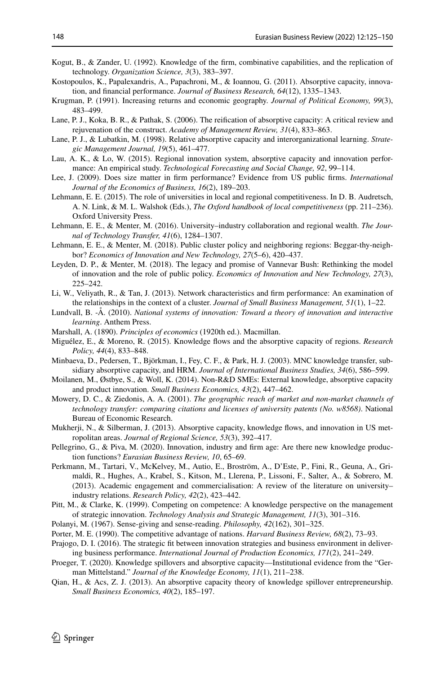- <span id="page-23-10"></span>Kogut, B., & Zander, U. (1992). Knowledge of the frm, combinative capabilities, and the replication of technology. *Organization Science, 3*(3), 383–397.
- <span id="page-23-20"></span>Kostopoulos, K., Papalexandris, A., Papachroni, M., & Ioannou, G. (2011). Absorptive capacity, innovation, and fnancial performance. *Journal of Business Research, 64*(12), 1335–1343.
- <span id="page-23-7"></span>Krugman, P. (1991). Increasing returns and economic geography. *Journal of Political Economy, 99*(3), 483–499.
- <span id="page-23-16"></span>Lane, P. J., Koka, B. R., & Pathak, S. (2006). The reifcation of absorptive capacity: A critical review and rejuvenation of the construct. *Academy of Management Review, 31*(4), 833–863.
- <span id="page-23-15"></span>Lane, P. J., & Lubatkin, M. (1998). Relative absorptive capacity and interorganizational learning. *Strategic Management Journal, 19*(5), 461–477.
- <span id="page-23-3"></span>Lau, A. K., & Lo, W. (2015). Regional innovation system, absorptive capacity and innovation performance: An empirical study. *Technological Forecasting and Social Change, 92*, 99–114.
- <span id="page-23-26"></span>Lee, J. (2009). Does size matter in frm performance? Evidence from US public frms. *International Journal of the Economics of Business, 16*(2), 189–203.
- <span id="page-23-2"></span>Lehmann, E. E. (2015). The role of universities in local and regional competitiveness. In D. B. Audretsch, A. N. Link, & M. L. Walshok (Eds.), *The Oxford handbook of local competitiveness* (pp. 211–236). Oxford University Press.
- <span id="page-23-25"></span>Lehmann, E. E., & Menter, M. (2016). University–industry collaboration and regional wealth. *The Journal of Technology Transfer, 41*(6), 1284–1307.
- <span id="page-23-14"></span>Lehmann, E. E., & Menter, M. (2018). Public cluster policy and neighboring regions: Beggar-thy-neighbor? *Economics of Innovation and New Technology, 27*(5–6), 420–437.
- <span id="page-23-1"></span>Leyden, D. P., & Menter, M. (2018). The legacy and promise of Vannevar Bush: Rethinking the model of innovation and the role of public policy. *Economics of Innovation and New Technology, 27*(3), 225–242.
- <span id="page-23-13"></span>Li, W., Veliyath, R., & Tan, J. (2013). Network characteristics and frm performance: An examination of the relationships in the context of a cluster. *Journal of Small Business Management, 51*(1), 1–22.
- <span id="page-23-8"></span>Lundvall, B. -Å. (2010). *National systems of innovation: Toward a theory of innovation and interactive learning*. Anthem Press.
- <span id="page-23-6"></span>Marshall, A. (1890). *Principles of economics* (1920th ed.). Macmillan.
- <span id="page-23-18"></span>Miguélez, E., & Moreno, R. (2015). Knowledge fows and the absorptive capacity of regions. *Research Policy, 44*(4), 833–848.
- <span id="page-23-22"></span>Minbaeva, D., Pedersen, T., Björkman, I., Fey, C. F., & Park, H. J. (2003). MNC knowledge transfer, subsidiary absorptive capacity, and HRM. *Journal of International Business Studies, 34*(6), 586–599.
- <span id="page-23-21"></span>Moilanen, M., Østbye, S., & Woll, K. (2014). Non-R&D SMEs: External knowledge, absorptive capacity and product innovation. *Small Business Economics, 43*(2), 447–462.
- <span id="page-23-9"></span>Mowery, D. C., & Ziedonis, A. A. (2001). *The geographic reach of market and non-market channels of technology transfer: comparing citations and licenses of university patents (No. w8568)*. National Bureau of Economic Research.
- <span id="page-23-19"></span>Mukherji, N., & Silberman, J. (2013). Absorptive capacity, knowledge flows, and innovation in US metropolitan areas. *Journal of Regional Science, 53*(3), 392–417.
- <span id="page-23-24"></span>Pellegrino, G., & Piva, M. (2020). Innovation, industry and frm age: Are there new knowledge production functions? *Eurasian Business Review, 10*, 65–69.
- <span id="page-23-12"></span>Perkmann, M., Tartari, V., McKelvey, M., Autio, E., Broström, A., D'Este, P., Fini, R., Geuna, A., Grimaldi, R., Hughes, A., Krabel, S., Kitson, M., Llerena, P., Lissoni, F., Salter, A., & Sobrero, M. (2013). Academic engagement and commercialisation: A review of the literature on university– industry relations. *Research Policy, 42*(2), 423–442.
- <span id="page-23-23"></span>Pitt, M., & Clarke, K. (1999). Competing on competence: A knowledge perspective on the management of strategic innovation. *Technology Analysis and Strategic Management, 11*(3), 301–316.
- <span id="page-23-11"></span>Polanyi, M. (1967). Sense-giving and sense-reading. *Philosophy, 42*(162), 301–325.
- <span id="page-23-0"></span>Porter, M. E. (1990). The competitive advantage of nations. *Harvard Business Review, 68*(2), 73–93.
- <span id="page-23-4"></span>Prajogo, D. I. (2016). The strategic ft between innovation strategies and business environment in delivering business performance. *International Journal of Production Economics, 171*(2), 241–249.
- <span id="page-23-5"></span>Proeger, T. (2020). Knowledge spillovers and absorptive capacity—Institutional evidence from the "German Mittelstand." *Journal of the Knowledge Economy, 11*(1), 211–238.
- <span id="page-23-17"></span>Qian, H., & Acs, Z. J. (2013). An absorptive capacity theory of knowledge spillover entrepreneurship. *Small Business Economics, 40*(2), 185–197.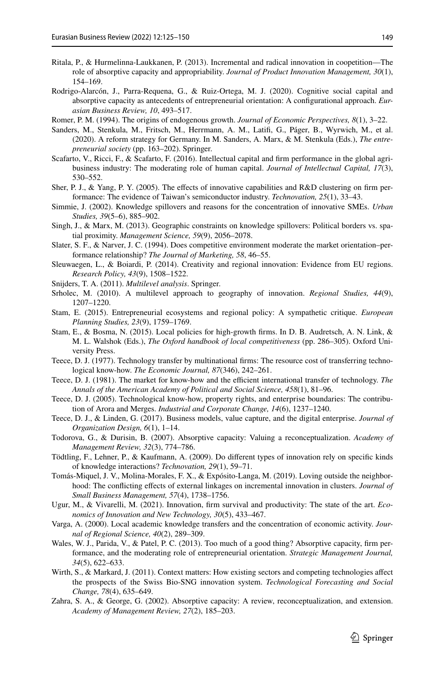- <span id="page-24-0"></span>Ritala, P., & Hurmelinna-Laukkanen, P. (2013). Incremental and radical innovation in coopetition—The role of absorptive capacity and appropriability. *Journal of Product Innovation Management, 30*(1), 154–169.
- <span id="page-24-15"></span>Rodrigo-Alarcón, J., Parra-Requena, G., & Ruiz-Ortega, M. J. (2020). Cognitive social capital and absorptive capacity as antecedents of entrepreneurial orientation: A confgurational approach. *Eurasian Business Review, 10*, 493–517.
- <span id="page-24-7"></span>Romer, P. M. (1994). The origins of endogenous growth. *Journal of Economic Perspectives, 8*(1), 3–22.
- <span id="page-24-14"></span>Sanders, M., Stenkula, M., Fritsch, M., Herrmann, A. M., Latif, G., Páger, B., Wyrwich, M., et al. (2020). A reform strategy for Germany. In M. Sanders, A. Marx, & M. Stenkula (Eds.), *The entrepreneurial society* (pp. 163–202). Springer.
- <span id="page-24-18"></span>Scafarto, V., Ricci, F., & Scafarto, F. (2016). Intellectual capital and firm performance in the global agribusiness industry: The moderating role of human capital. *Journal of Intellectual Capital, 17*(3), 530–552.
- <span id="page-24-22"></span>Sher, P. J., & Yang, P. Y. (2005). The efects of innovative capabilities and R&D clustering on frm performance: The evidence of Taiwan's semiconductor industry. *Technovation, 25*(1), 33–43.
- <span id="page-24-3"></span>Simmie, J. (2002). Knowledge spillovers and reasons for the concentration of innovative SMEs. *Urban Studies, 39*(5–6), 885–902.
- <span id="page-24-24"></span>Singh, J., & Marx, M. (2013). Geographic constraints on knowledge spillovers: Political borders vs. spatial proximity. *Management Science, 59*(9), 2056–2078.
- <span id="page-24-21"></span>Slater, S. F., & Narver, J. C. (1994). Does competitive environment moderate the market orientation–performance relationship? *The Journal of Marketing, 58*, 46–55.
- <span id="page-24-6"></span>Sleuwaegen, L., & Boiardi, P. (2014). Creativity and regional innovation: Evidence from EU regions. *Research Policy, 43*(9), 1508–1522.
- <span id="page-24-20"></span>Snijders, T. A. (2011). *Multilevel analysis*. Springer.
- <span id="page-24-19"></span>Srholec, M. (2010). A multilevel approach to geography of innovation. *Regional Studies, 44*(9), 1207–1220.
- <span id="page-24-5"></span>Stam, E. (2015). Entrepreneurial ecosystems and regional policy: A sympathetic critique. *European Planning Studies, 23*(9), 1759–1769.
- <span id="page-24-25"></span>Stam, E., & Bosma, N. (2015). Local policies for high-growth frms. In D. B. Audretsch, A. N. Link, & M. L. Walshok (Eds.), *The Oxford handbook of local competitiveness* (pp. 286–305). Oxford University Press.
- <span id="page-24-9"></span>Teece, D. J. (1977). Technology transfer by multinational frms: The resource cost of transferring technological know-how. *The Economic Journal, 87*(346), 242–261.
- <span id="page-24-10"></span>Teece, D. J. (1981). The market for know-how and the efficient international transfer of technology. *The Annals of the American Academy of Political and Social Science, 458*(1), 81–96.
- <span id="page-24-8"></span>Teece, D. J. (2005). Technological know-how, property rights, and enterprise boundaries: The contribution of Arora and Merges. *Industrial and Corporate Change, 14*(6), 1237–1240.
- <span id="page-24-12"></span>Teece, D. J., & Linden, G. (2017). Business models, value capture, and the digital enterprise. *Journal of Organization Design, 6*(1), 1–14.
- <span id="page-24-17"></span>Todorova, G., & Durisin, B. (2007). Absorptive capacity: Valuing a reconceptualization. *Academy of Management Review, 32*(3), 774–786.
- <span id="page-24-1"></span>Tödtling, F., Lehner, P., & Kaufmann, A. (2009). Do diferent types of innovation rely on specifc kinds of knowledge interactions? *Technovation, 29*(1), 59–71.
- <span id="page-24-2"></span>Tomás-Miquel, J. V., Molina-Morales, F. X., & Expósito-Langa, M. (2019). Loving outside the neighborhood: The conficting efects of external linkages on incremental innovation in clusters. *Journal of Small Business Management, 57*(4), 1738–1756.
- <span id="page-24-4"></span>Ugur, M., & Vivarelli, M. (2021). Innovation, frm survival and productivity: The state of the art. *Economics of Innovation and New Technology, 30*(5), 433–467.
- <span id="page-24-11"></span>Varga, A. (2000). Local academic knowledge transfers and the concentration of economic activity. *Journal of Regional Science, 40*(2), 289–309.
- <span id="page-24-16"></span>Wales, W. J., Parida, V., & Patel, P. C. (2013). Too much of a good thing? Absorptive capacity, frm performance, and the moderating role of entrepreneurial orientation. *Strategic Management Journal, 34*(5), 622–633.
- <span id="page-24-23"></span>Wirth, S., & Markard, J. (2011). Context matters: How existing sectors and competing technologies afect the prospects of the Swiss Bio-SNG innovation system. *Technological Forecasting and Social Change, 78*(4), 635–649.
- <span id="page-24-13"></span>Zahra, S. A., & George, G. (2002). Absorptive capacity: A review, reconceptualization, and extension. *Academy of Management Review, 27*(2), 185–203.